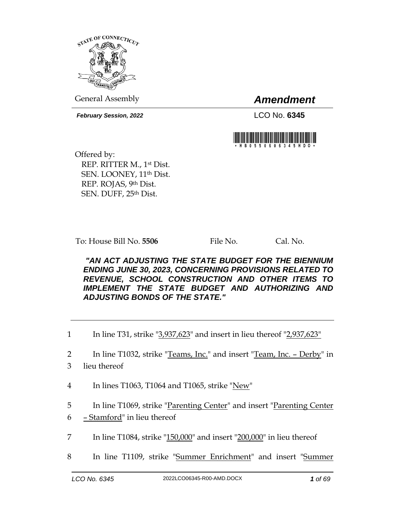

General Assembly *Amendment*

*February Session, 2022* LCO No. **6345**



Offered by: REP. RITTER M., 1st Dist. SEN. LOONEY, 11<sup>th</sup> Dist. REP. ROJAS, 9th Dist. SEN. DUFF, 25th Dist.

To: House Bill No. **5506** File No. Cal. No.

*"AN ACT ADJUSTING THE STATE BUDGET FOR THE BIENNIUM ENDING JUNE 30, 2023, CONCERNING PROVISIONS RELATED TO REVENUE, SCHOOL CONSTRUCTION AND OTHER ITEMS TO IMPLEMENT THE STATE BUDGET AND AUTHORIZING AND ADJUSTING BONDS OF THE STATE."* 

1 In line T31, strike "3,937,623" and insert in lieu thereof "2,937,623"

2 In line T1032, strike "Teams, Inc." and insert "Team, Inc. – Derby" in

- 3 lieu thereof
- 4 In lines T1063, T1064 and T1065, strike "New"
- 5 In line T1069, strike "Parenting Center" and insert "Parenting Center
- 6 Stamford" in lieu thereof
- 7 In line T1084, strike "150,000" and insert "200,000" in lieu thereof
- 8 In line T1109, strike "Summer Enrichment" and insert "Summer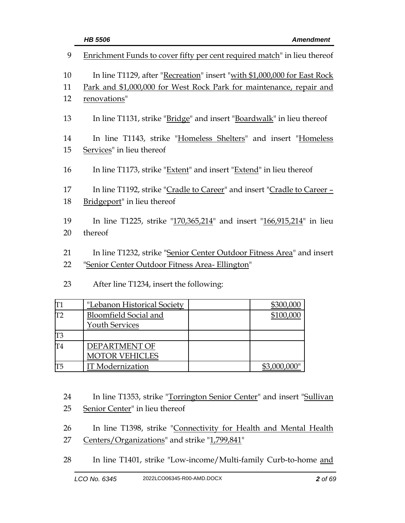| 9        | Enrichment Funds to cover fifty per cent required match" in lieu thereof                                                 |
|----------|--------------------------------------------------------------------------------------------------------------------------|
| 10       | In line T1129, after "Recreation" insert "with \$1,000,000 for East Rock                                                 |
| 11       | Park and \$1,000,000 for West Rock Park for maintenance, repair and                                                      |
| 12       | renovations"                                                                                                             |
| 13       | In line T1131, strike "Bridge" and insert "Boardwalk" in lieu thereof                                                    |
| 14       | In line T1143, strike "Homeless Shelters" and insert "Homeless                                                           |
| 15       | Services" in lieu thereof                                                                                                |
| 16       | In line T1173, strike "Extent" and insert "Extend" in lieu thereof                                                       |
| 17       | In line T1192, strike "Cradle to Career" and insert "Cradle to Career -                                                  |
| 18       | Bridgeport" in lieu thereof                                                                                              |
|          |                                                                                                                          |
| 19       | In line T1225, strike "170,365,214" and insert "166,915,214" in lieu                                                     |
| 20       | thereof                                                                                                                  |
| 21<br>22 | In line T1232, strike "Senior Center Outdoor Fitness Area" and insert<br>"Senior Center Outdoor Fitness Area- Ellington" |

23 After line T1234, insert the following:

|               | "Lebanon Historical Society  | \$300,000    |
|---------------|------------------------------|--------------|
| $\Pi$         | <b>Bloomfield Social and</b> | \$100,000    |
|               | <b>Youth Services</b>        |              |
| IT3           |                              |              |
| $\mathsf{T}4$ | DEPARTMENT OF                |              |
|               | <b>MOTOR VEHICLES</b>        |              |
| IT5           | <b>IT</b> Modernization      | \$3,000,000" |

- 24 In line T1353, strike "Torrington Senior Center" and insert "Sullivan
- 25 Senior Center" in lieu thereof
- 26 In line T1398, strike "Connectivity for Health and Mental Health 27 Centers/Organizations" and strike "1,799,841"
- 28 In line T1401, strike "Low-income/Multi-family Curb-to-home and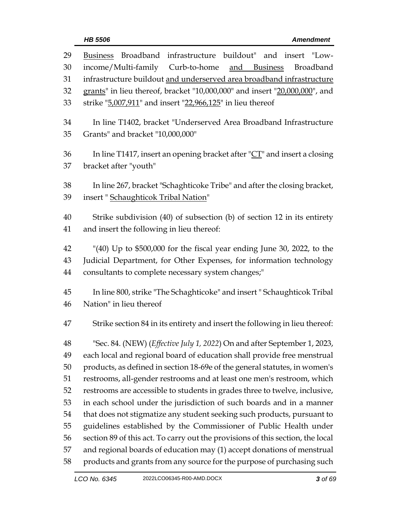| 29 | Business Broadband infrastructure buildout" and insert "Low-                   |
|----|--------------------------------------------------------------------------------|
| 30 | income/Multi-family<br>Curb-to-home<br><u>and Business</u><br><b>Broadband</b> |
| 31 | infrastructure buildout and underserved area broadband infrastructure          |
| 32 | grants" in lieu thereof, bracket "10,000,000" and insert "20,000,000", and     |
| 33 | strike "5,007,911" and insert "22,966,125" in lieu thereof                     |
| 34 | In line T1402, bracket "Underserved Area Broadband Infrastructure              |
| 35 | Grants" and bracket "10,000,000"                                               |
| 36 | In line T1417, insert an opening bracket after " $CT$ " and insert a closing   |
| 37 | bracket after "youth"                                                          |
| 38 | In line 267, bracket "Schaghticoke Tribe" and after the closing bracket,       |
| 39 | insert "Schaughticok Tribal Nation"                                            |
| 40 | Strike subdivision (40) of subsection (b) of section 12 in its entirety        |
| 41 | and insert the following in lieu thereof:                                      |
| 42 | "(40) Up to \$500,000 for the fiscal year ending June 30, 2022, to the         |
| 43 | Judicial Department, for Other Expenses, for information technology            |
| 44 | consultants to complete necessary system changes;"                             |
| 45 | In line 800, strike "The Schaghticoke" and insert "Schaughticok Tribal         |
| 46 | Nation" in lieu thereof                                                        |
| 47 | Strike section 84 in its entirety and insert the following in lieu thereof:    |
| 48 | "Sec. 84. (NEW) (Effective July 1, 2022) On and after September 1, 2023,       |
| 49 | each local and regional board of education shall provide free menstrual        |
| 50 | products, as defined in section 18-69e of the general statutes, in women's     |
| 51 | restrooms, all-gender restrooms and at least one men's restroom, which         |
| 52 | restrooms are accessible to students in grades three to twelve, inclusive,     |
| 53 | in each school under the jurisdiction of such boards and in a manner           |
| 54 | that does not stigmatize any student seeking such products, pursuant to        |
| 55 | guidelines established by the Commissioner of Public Health under              |
| 56 | section 89 of this act. To carry out the provisions of this section, the local |
| 57 | and regional boards of education may (1) accept donations of menstrual         |
| 58 | products and grants from any source for the purpose of purchasing such         |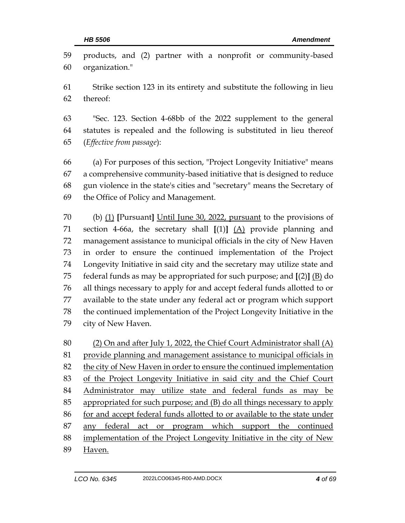| 59<br>60 | products, and (2) partner with a nonprofit or community-based<br>organization." |
|----------|---------------------------------------------------------------------------------|
| 61       | Strike section 123 in its entirety and substitute the following in lieu         |
| 62       | thereof:                                                                        |
| 63       | "Sec. 123. Section 4-68bb of the 2022 supplement to the general                 |
| 64       | statutes is repealed and the following is substituted in lieu thereof           |
| 65       | (Effective from passage):                                                       |
| 66       | (a) For purposes of this section, "Project Longevity Initiative" means          |
| 67       | a comprehensive community-based initiative that is designed to reduce           |
| 68       | gun violence in the state's cities and "secretary" means the Secretary of       |
| 69       | the Office of Policy and Management.                                            |
| 70       | (b) $(1)$ [Pursuant] Until June 30, 2022, pursuant to the provisions of         |
| 71       | section 4-66a, the secretary shall $[(1)]$ $(A)$ provide planning and           |
| 72       | management assistance to municipal officials in the city of New Haven           |
| 73       | in order to ensure the continued implementation of the Project                  |
| 74       | Longevity Initiative in said city and the secretary may utilize state and       |
| 75       | federal funds as may be appropriated for such purpose; and $[(2)]$ $(B)$ do     |
| 76       | all things necessary to apply for and accept federal funds allotted to or       |
| 77       | available to the state under any federal act or program which support           |
| 78       | the continued implementation of the Project Longevity Initiative in the         |
| 79       | city of New Haven.                                                              |
| 80       | (2) On and after July 1, 2022, the Chief Court Administrator shall (A)          |
| 81       | provide planning and management assistance to municipal officials in            |
| 82       | the city of New Haven in order to ensure the continued implementation           |
| 83       | of the Project Longevity Initiative in said city and the Chief Court            |
| 84       | Administrator may utilize state and federal funds as may be                     |
| 85       | appropriated for such purpose; and (B) do all things necessary to apply         |
| 86       | for and accept federal funds allotted to or available to the state under        |
| 87       | any federal act or program which support the continued                          |
| 88       | implementation of the Project Longevity Initiative in the city of New           |

Haven.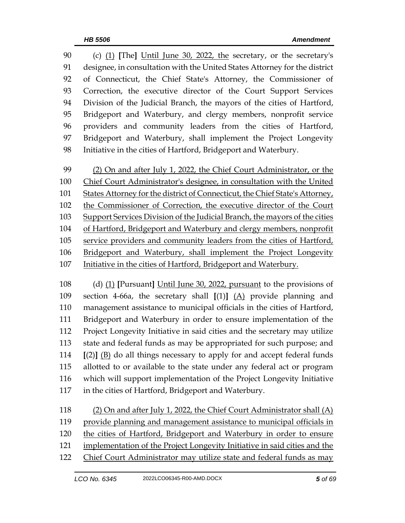(c) (1) **[**The**]** Until June 30, 2022, the secretary, or the secretary's designee, in consultation with the United States Attorney for the district of Connecticut, the Chief State's Attorney, the Commissioner of Correction, the executive director of the Court Support Services Division of the Judicial Branch, the mayors of the cities of Hartford, Bridgeport and Waterbury, and clergy members, nonprofit service providers and community leaders from the cities of Hartford, Bridgeport and Waterbury, shall implement the Project Longevity Initiative in the cities of Hartford, Bridgeport and Waterbury.

 (2) On and after July 1, 2022, the Chief Court Administrator, or the Chief Court Administrator's designee, in consultation with the United States Attorney for the district of Connecticut, the Chief State's Attorney, the Commissioner of Correction, the executive director of the Court Support Services Division of the Judicial Branch, the mayors of the cities of Hartford, Bridgeport and Waterbury and clergy members, nonprofit service providers and community leaders from the cities of Hartford, Bridgeport and Waterbury, shall implement the Project Longevity Initiative in the cities of Hartford, Bridgeport and Waterbury.

 (d) (1) **[**Pursuant**]** Until June 30, 2022, pursuant to the provisions of section 4-66a, the secretary shall **[**(1)**]** (A) provide planning and management assistance to municipal officials in the cities of Hartford, Bridgeport and Waterbury in order to ensure implementation of the Project Longevity Initiative in said cities and the secretary may utilize state and federal funds as may be appropriated for such purpose; and **[**(2)**]** (B) do all things necessary to apply for and accept federal funds allotted to or available to the state under any federal act or program which will support implementation of the Project Longevity Initiative in the cities of Hartford, Bridgeport and Waterbury.

 (2) On and after July 1, 2022, the Chief Court Administrator shall (A) provide planning and management assistance to municipal officials in the cities of Hartford, Bridgeport and Waterbury in order to ensure implementation of the Project Longevity Initiative in said cities and the Chief Court Administrator may utilize state and federal funds as may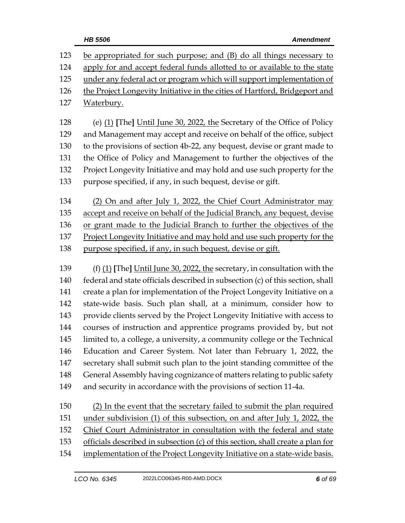| 123          | be appropriated for such purpose; and (B) do all things necessary to                                                                                                                                                                                                                                                                                                                          |
|--------------|-----------------------------------------------------------------------------------------------------------------------------------------------------------------------------------------------------------------------------------------------------------------------------------------------------------------------------------------------------------------------------------------------|
| 124          | apply for and accept federal funds allotted to or available to the state                                                                                                                                                                                                                                                                                                                      |
| 125          | under any federal act or program which will support implementation of                                                                                                                                                                                                                                                                                                                         |
| 126          | the Project Longevity Initiative in the cities of Hartford, Bridgeport and                                                                                                                                                                                                                                                                                                                    |
| 127          | <u>Waterbury.</u>                                                                                                                                                                                                                                                                                                                                                                             |
|              |                                                                                                                                                                                                                                                                                                                                                                                               |
| 128          | (e) $(1)$ [The] Until June 30, 2022, the Secretary of the Office of Policy                                                                                                                                                                                                                                                                                                                    |
| 129          | and Management may accept and receive on behalf of the office, subject                                                                                                                                                                                                                                                                                                                        |
| 130          | to the provisions of section 4b-22, any bequest, devise or grant made to                                                                                                                                                                                                                                                                                                                      |
| 131          | the Office of Policy and Management to further the objectives of the                                                                                                                                                                                                                                                                                                                          |
| 132          | Project Longevity Initiative and may hold and use such property for the                                                                                                                                                                                                                                                                                                                       |
| 133          | purpose specified, if any, in such bequest, devise or gift.                                                                                                                                                                                                                                                                                                                                   |
| 134          |                                                                                                                                                                                                                                                                                                                                                                                               |
| 135          | (2) On and after July 1, 2022, the Chief Court Administrator may                                                                                                                                                                                                                                                                                                                              |
|              | accept and receive on behalf of the Judicial Branch, any bequest, devise                                                                                                                                                                                                                                                                                                                      |
| 136          | or grant made to the Judicial Branch to further the objectives of the                                                                                                                                                                                                                                                                                                                         |
| 137          | Project Longevity Initiative and may hold and use such property for the                                                                                                                                                                                                                                                                                                                       |
| 138          | purpose specified, if any, in such bequest, devise or gift.                                                                                                                                                                                                                                                                                                                                   |
| 139          | (f) $(1)$ [The] Until June 30, 2022, the secretary, in consultation with the                                                                                                                                                                                                                                                                                                                  |
| 140          | federal and state officials described in subsection (c) of this section, shall                                                                                                                                                                                                                                                                                                                |
| 141          | create a plan for implementation of the Project Longevity Initiative on a                                                                                                                                                                                                                                                                                                                     |
| 142          | state-wide basis. Such plan shall, at a minimum, consider how to                                                                                                                                                                                                                                                                                                                              |
| 143          | provide clients served by the Project Longevity Initiative with access to                                                                                                                                                                                                                                                                                                                     |
| 144          | courses of instruction and apprentice programs provided by, but not                                                                                                                                                                                                                                                                                                                           |
| 145          | limited to, a college, a university, a community college or the Technical                                                                                                                                                                                                                                                                                                                     |
| 146          | Education and Career System. Not later than February 1, 2022, the                                                                                                                                                                                                                                                                                                                             |
| 147          | secretary shall submit such plan to the joint standing committee of the                                                                                                                                                                                                                                                                                                                       |
| 148          | General Assembly having cognizance of matters relating to public safety                                                                                                                                                                                                                                                                                                                       |
| 149          | and security in accordance with the provisions of section 11-4a.                                                                                                                                                                                                                                                                                                                              |
|              |                                                                                                                                                                                                                                                                                                                                                                                               |
| 150<br>1 E 1 | (2) In the event that the secretary failed to submit the plan required<br>$\frac{1}{2}$ $\frac{1}{2}$ $\frac{1}{2}$ $\frac{1}{2}$ $\frac{1}{2}$ $\frac{1}{2}$ $\frac{1}{2}$ $\frac{1}{2}$ $\frac{1}{2}$ $\frac{1}{2}$ $\frac{1}{2}$ $\frac{1}{2}$ $\frac{1}{2}$ $\frac{1}{2}$ $\frac{1}{2}$ $\frac{1}{2}$ $\frac{1}{2}$ $\frac{1}{2}$ $\frac{1}{2}$ $\frac{1}{2}$ $\frac{1}{2}$ $\frac{1}{2}$ |

151 under subdivision (1) of this subsection, on and after July 1, 2022, the

Chief Court Administrator in consultation with the federal and state

officials described in subsection (c) of this section, shall create a plan for

154 implementation of the Project Longevity Initiative on a state-wide basis.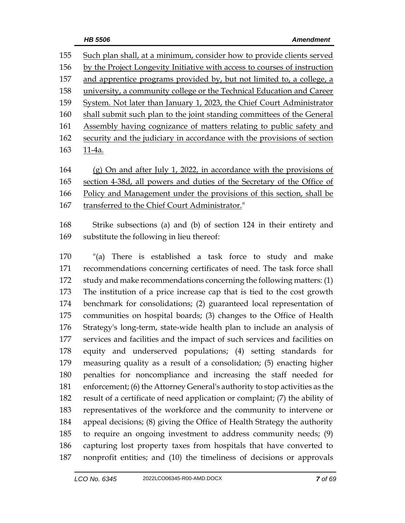Such plan shall, at a minimum, consider how to provide clients served by the Project Longevity Initiative with access to courses of instruction and apprentice programs provided by, but not limited to, a college, a university, a community college or the Technical Education and Career System. Not later than January 1, 2023, the Chief Court Administrator shall submit such plan to the joint standing committees of the General Assembly having cognizance of matters relating to public safety and 162 security and the judiciary in accordance with the provisions of section 11-4a.

 (g) On and after July 1, 2022, in accordance with the provisions of section 4-38d, all powers and duties of the Secretary of the Office of Policy and Management under the provisions of this section, shall be transferred to the Chief Court Administrator."

 Strike subsections (a) and (b) of section 124 in their entirety and substitute the following in lieu thereof:

 "(a) There is established a task force to study and make recommendations concerning certificates of need. The task force shall study and make recommendations concerning the following matters: (1) The institution of a price increase cap that is tied to the cost growth benchmark for consolidations; (2) guaranteed local representation of communities on hospital boards; (3) changes to the Office of Health Strategy's long-term, state-wide health plan to include an analysis of services and facilities and the impact of such services and facilities on equity and underserved populations; (4) setting standards for measuring quality as a result of a consolidation; (5) enacting higher penalties for noncompliance and increasing the staff needed for enforcement; (6) the Attorney General's authority to stop activities as the result of a certificate of need application or complaint; (7) the ability of representatives of the workforce and the community to intervene or appeal decisions; (8) giving the Office of Health Strategy the authority to require an ongoing investment to address community needs; (9) capturing lost property taxes from hospitals that have converted to nonprofit entities; and (10) the timeliness of decisions or approvals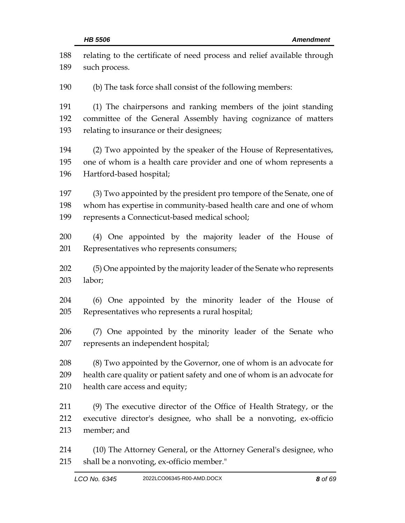| 188<br>189 | relating to the certificate of need process and relief available through<br>such process. |
|------------|-------------------------------------------------------------------------------------------|
|            |                                                                                           |
| 190        | (b) The task force shall consist of the following members:                                |
| 191        | (1) The chairpersons and ranking members of the joint standing                            |
| 192        | committee of the General Assembly having cognizance of matters                            |
| 193        | relating to insurance or their designees;                                                 |
| 194        | (2) Two appointed by the speaker of the House of Representatives,                         |
| 195        | one of whom is a health care provider and one of whom represents a                        |
| 196        | Hartford-based hospital;                                                                  |
| 197        | (3) Two appointed by the president pro tempore of the Senate, one of                      |
| 198        | whom has expertise in community-based health care and one of whom                         |
| 199        | represents a Connecticut-based medical school;                                            |
| 200        | (4) One appointed by the majority leader of the House of                                  |
| 201        | Representatives who represents consumers;                                                 |
| 202        | (5) One appointed by the majority leader of the Senate who represents                     |
| 203        | labor;                                                                                    |
| 204        | (6) One appointed by the minority leader of the House of                                  |
| 205        | Representatives who represents a rural hospital;                                          |
| 206        | (7) One appointed by the minority leader of the Senate who                                |
| 207        | represents an independent hospital;                                                       |
| 208        | (8) Two appointed by the Governor, one of whom is an advocate for                         |
| 209        | health care quality or patient safety and one of whom is an advocate for                  |
| 210        | health care access and equity;                                                            |
| 211        | (9) The executive director of the Office of Health Strategy, or the                       |
| 212        | executive director's designee, who shall be a nonvoting, ex-officio                       |
| 213        | member; and                                                                               |
| 214        | (10) The Attorney General, or the Attorney General's designee, who                        |
| 215        | shall be a nonvoting, ex-officio member."                                                 |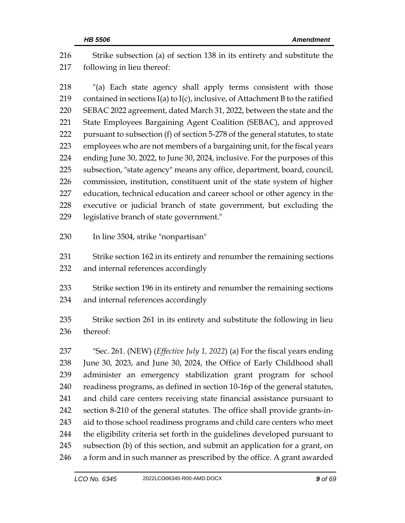Strike subsection (a) of section 138 in its entirety and substitute the following in lieu thereof:

 "(a) Each state agency shall apply terms consistent with those 219 contained in sections  $I(a)$  to  $I(c)$ , inclusive, of Attachment B to the ratified SEBAC 2022 agreement, dated March 31, 2022, between the state and the State Employees Bargaining Agent Coalition (SEBAC), and approved pursuant to subsection (f) of section 5-278 of the general statutes, to state employees who are not members of a bargaining unit, for the fiscal years ending June 30, 2022, to June 30, 2024, inclusive. For the purposes of this subsection, "state agency" means any office, department, board, council, commission, institution, constituent unit of the state system of higher education, technical education and career school or other agency in the executive or judicial branch of state government, but excluding the legislative branch of state government."

In line 3504, strike "nonpartisan"

 Strike section 162 in its entirety and renumber the remaining sections and internal references accordingly

 Strike section 196 in its entirety and renumber the remaining sections and internal references accordingly

 Strike section 261 in its entirety and substitute the following in lieu thereof:

 "Sec. 261. (NEW) (*Effective July 1, 2022*) (a) For the fiscal years ending June 30, 2023, and June 30, 2024, the Office of Early Childhood shall administer an emergency stabilization grant program for school readiness programs, as defined in section 10-16p of the general statutes, and child care centers receiving state financial assistance pursuant to section 8-210 of the general statutes. The office shall provide grants-in-243 aid to those school readiness programs and child care centers who meet the eligibility criteria set forth in the guidelines developed pursuant to subsection (b) of this section, and submit an application for a grant, on 246 a form and in such manner as prescribed by the office. A grant awarded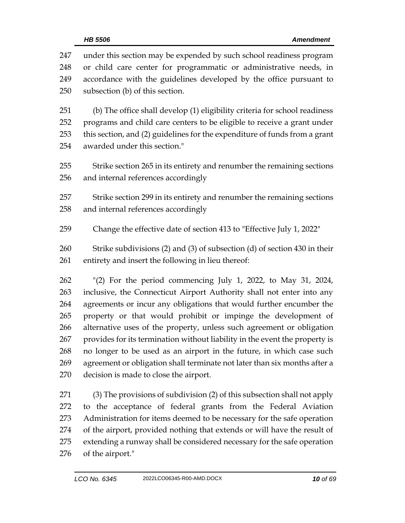| 247<br>248<br>249<br>250 | under this section may be expended by such school readiness program<br>or child care center for programmatic or administrative needs, in<br>accordance with the guidelines developed by the office pursuant to<br>subsection (b) of this section.                   |
|--------------------------|---------------------------------------------------------------------------------------------------------------------------------------------------------------------------------------------------------------------------------------------------------------------|
| 251<br>252<br>253<br>254 | (b) The office shall develop (1) eligibility criteria for school readiness<br>programs and child care centers to be eligible to receive a grant under<br>this section, and (2) guidelines for the expenditure of funds from a grant<br>awarded under this section." |
| 255<br>256               | Strike section 265 in its entirety and renumber the remaining sections<br>and internal references accordingly                                                                                                                                                       |
| 257<br>258               | Strike section 299 in its entirety and renumber the remaining sections<br>and internal references accordingly                                                                                                                                                       |
| 259                      | Change the effective date of section 413 to "Effective July 1, 2022"                                                                                                                                                                                                |
| 260<br>261               | Strike subdivisions (2) and (3) of subsection (d) of section 430 in their<br>entirety and insert the following in lieu thereof:                                                                                                                                     |
| 262                      | "(2) For the period commencing July 1, 2022, to May 31, 2024,                                                                                                                                                                                                       |
| 263                      | inclusive, the Connecticut Airport Authority shall not enter into any                                                                                                                                                                                               |
| 264                      | agreements or incur any obligations that would further encumber the                                                                                                                                                                                                 |
| 265                      | property or that would prohibit or impinge the development of                                                                                                                                                                                                       |
| 266                      | alternative uses of the property, unless such agreement or obligation                                                                                                                                                                                               |
| 267                      | provides for its termination without liability in the event the property is                                                                                                                                                                                         |
| 268                      | no longer to be used as an airport in the future, in which case such                                                                                                                                                                                                |
| 269                      | agreement or obligation shall terminate not later than six months after a                                                                                                                                                                                           |
| 270                      | decision is made to close the airport.                                                                                                                                                                                                                              |
| 271                      | (3) The provisions of subdivision (2) of this subsection shall not apply                                                                                                                                                                                            |
| רפר                      | comparison of folgual graphs from the Endored Aviotion                                                                                                                                                                                                              |

 to the acceptance of federal grants from the Federal Aviation Administration for items deemed to be necessary for the safe operation of the airport, provided nothing that extends or will have the result of extending a runway shall be considered necessary for the safe operation of the airport."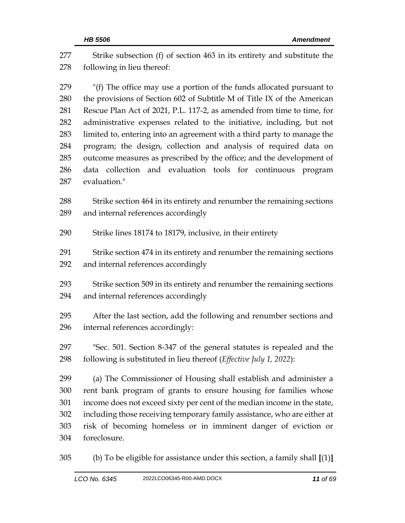Strike subsection (f) of section 463 in its entirety and substitute the following in lieu thereof: "(f) The office may use a portion of the funds allocated pursuant to the provisions of Section 602 of Subtitle M of Title IX of the American Rescue Plan Act of 2021, P.L. 117-2, as amended from time to time, for administrative expenses related to the initiative, including, but not limited to, entering into an agreement with a third party to manage the program; the design, collection and analysis of required data on outcome measures as prescribed by the office; and the development of data collection and evaluation tools for continuous program evaluation." Strike section 464 in its entirety and renumber the remaining sections and internal references accordingly Strike lines 18174 to 18179, inclusive, in their entirety Strike section 474 in its entirety and renumber the remaining sections and internal references accordingly Strike section 509 in its entirety and renumber the remaining sections and internal references accordingly After the last section, add the following and renumber sections and internal references accordingly: "Sec. 501. Section 8-347 of the general statutes is repealed and the following is substituted in lieu thereof (*Effective July 1, 2022*): (a) The Commissioner of Housing shall establish and administer a rent bank program of grants to ensure housing for families whose income does not exceed sixty per cent of the median income in the state, including those receiving temporary family assistance, who are either at risk of becoming homeless or in imminent danger of eviction or foreclosure. (b) To be eligible for assistance under this section, a family shall **[**(1)**]**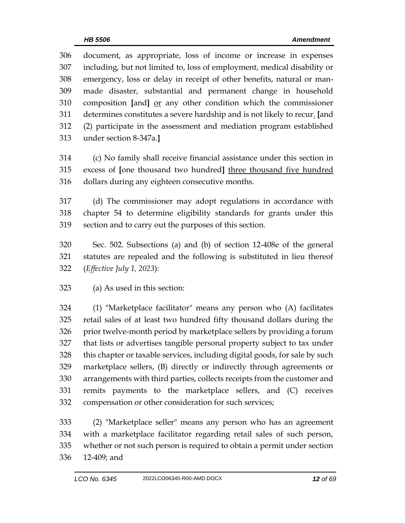| 306 | document, as appropriate, loss of income or increase in expenses          |
|-----|---------------------------------------------------------------------------|
| 307 | including, but not limited to, loss of employment, medical disability or  |
| 308 | emergency, loss or delay in receipt of other benefits, natural or man-    |
| 309 | made disaster, substantial and permanent change in household              |
| 310 | composition [and] or any other condition which the commissioner           |
| 311 | determines constitutes a severe hardship and is not likely to recur. [and |
| 312 | (2) participate in the assessment and mediation program established       |
| 313 | under section 8-347a.]                                                    |
|     |                                                                           |
| 314 | (c) No family shall receive financial assistance under this section in    |
| 315 | excess of Jone thousand two hundred] three thousand five hundred          |
| 316 | dollars during any eighteen consecutive months.                           |

 (d) The commissioner may adopt regulations in accordance with chapter 54 to determine eligibility standards for grants under this section and to carry out the purposes of this section.

 Sec. 502. Subsections (a) and (b) of section 12-408e of the general statutes are repealed and the following is substituted in lieu thereof (*Effective July 1, 2023*):

 (1) "Marketplace facilitator" means any person who (A) facilitates retail sales of at least two hundred fifty thousand dollars during the prior twelve-month period by marketplace sellers by providing a forum that lists or advertises tangible personal property subject to tax under this chapter or taxable services, including digital goods, for sale by such marketplace sellers, (B) directly or indirectly through agreements or arrangements with third parties, collects receipts from the customer and remits payments to the marketplace sellers, and (C) receives compensation or other consideration for such services;

 (2) "Marketplace seller" means any person who has an agreement with a marketplace facilitator regarding retail sales of such person, whether or not such person is required to obtain a permit under section 12-409; and

(a) As used in this section: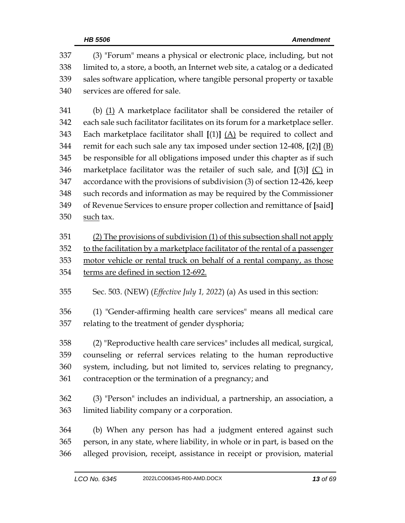(3) "Forum" means a physical or electronic place, including, but not limited to, a store, a booth, an Internet web site, a catalog or a dedicated sales software application, where tangible personal property or taxable services are offered for sale. (b) (1) A marketplace facilitator shall be considered the retailer of each sale such facilitator facilitates on its forum for a marketplace seller. Each marketplace facilitator shall **[**(1)**]** (A) be required to collect and remit for each such sale any tax imposed under section 12-408, **[**(2)**]** (B) be responsible for all obligations imposed under this chapter as if such marketplace facilitator was the retailer of such sale, and **[**(3)**]** (C) in accordance with the provisions of subdivision (3) of section 12-426, keep such records and information as may be required by the Commissioner of Revenue Services to ensure proper collection and remittance of **[**said**]** 350 such tax. (2) The provisions of subdivision (1) of this subsection shall not apply to the facilitation by a marketplace facilitator of the rental of a passenger motor vehicle or rental truck on behalf of a rental company, as those terms are defined in section 12-692. Sec. 503. (NEW) (*Effective July 1, 2022*) (a) As used in this section: (1) "Gender-affirming health care services" means all medical care relating to the treatment of gender dysphoria; (2) "Reproductive health care services" includes all medical, surgical, counseling or referral services relating to the human reproductive system, including, but not limited to, services relating to pregnancy, contraception or the termination of a pregnancy; and (3) "Person" includes an individual, a partnership, an association, a limited liability company or a corporation. (b) When any person has had a judgment entered against such person, in any state, where liability, in whole or in part, is based on the alleged provision, receipt, assistance in receipt or provision, material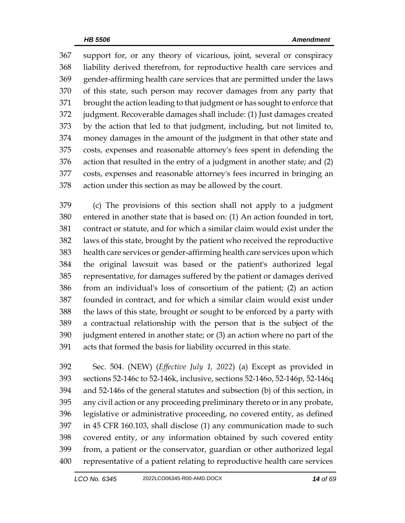support for, or any theory of vicarious, joint, several or conspiracy liability derived therefrom, for reproductive health care services and gender-affirming health care services that are permitted under the laws of this state, such person may recover damages from any party that brought the action leading to that judgment or has sought to enforce that judgment. Recoverable damages shall include: (1) Just damages created by the action that led to that judgment, including, but not limited to, money damages in the amount of the judgment in that other state and costs, expenses and reasonable attorney's fees spent in defending the action that resulted in the entry of a judgment in another state; and (2) costs, expenses and reasonable attorney's fees incurred in bringing an action under this section as may be allowed by the court.

 (c) The provisions of this section shall not apply to a judgment entered in another state that is based on: (1) An action founded in tort, contract or statute, and for which a similar claim would exist under the laws of this state, brought by the patient who received the reproductive health care services or gender-affirming health care services upon which the original lawsuit was based or the patient's authorized legal representative, for damages suffered by the patient or damages derived from an individual's loss of consortium of the patient; (2) an action founded in contract, and for which a similar claim would exist under the laws of this state, brought or sought to be enforced by a party with a contractual relationship with the person that is the subject of the judgment entered in another state; or (3) an action where no part of the acts that formed the basis for liability occurred in this state.

 Sec. 504. (NEW) (*Effective July 1, 2022*) (a) Except as provided in sections 52-146c to 52-146k, inclusive, sections 52-146o, 52-146p, 52-146q and 52-146s of the general statutes and subsection (b) of this section, in any civil action or any proceeding preliminary thereto or in any probate, legislative or administrative proceeding, no covered entity, as defined in 45 CFR 160.103, shall disclose (1) any communication made to such covered entity, or any information obtained by such covered entity from, a patient or the conservator, guardian or other authorized legal representative of a patient relating to reproductive health care services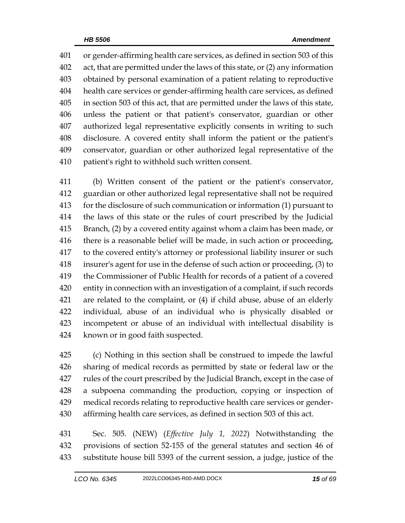or gender-affirming health care services, as defined in section 503 of this act, that are permitted under the laws of this state, or (2) any information obtained by personal examination of a patient relating to reproductive health care services or gender-affirming health care services, as defined in section 503 of this act, that are permitted under the laws of this state, unless the patient or that patient's conservator, guardian or other authorized legal representative explicitly consents in writing to such disclosure. A covered entity shall inform the patient or the patient's conservator, guardian or other authorized legal representative of the patient's right to withhold such written consent.

 (b) Written consent of the patient or the patient's conservator, guardian or other authorized legal representative shall not be required for the disclosure of such communication or information (1) pursuant to the laws of this state or the rules of court prescribed by the Judicial Branch, (2) by a covered entity against whom a claim has been made, or there is a reasonable belief will be made, in such action or proceeding, to the covered entity's attorney or professional liability insurer or such insurer's agent for use in the defense of such action or proceeding, (3) to the Commissioner of Public Health for records of a patient of a covered entity in connection with an investigation of a complaint, if such records are related to the complaint, or (4) if child abuse, abuse of an elderly individual, abuse of an individual who is physically disabled or incompetent or abuse of an individual with intellectual disability is known or in good faith suspected.

 (c) Nothing in this section shall be construed to impede the lawful sharing of medical records as permitted by state or federal law or the rules of the court prescribed by the Judicial Branch, except in the case of a subpoena commanding the production, copying or inspection of medical records relating to reproductive health care services or gender-affirming health care services, as defined in section 503 of this act.

 Sec. 505. (NEW) (*Effective July 1, 2022*) Notwithstanding the provisions of section 52-155 of the general statutes and section 46 of substitute house bill 5393 of the current session, a judge, justice of the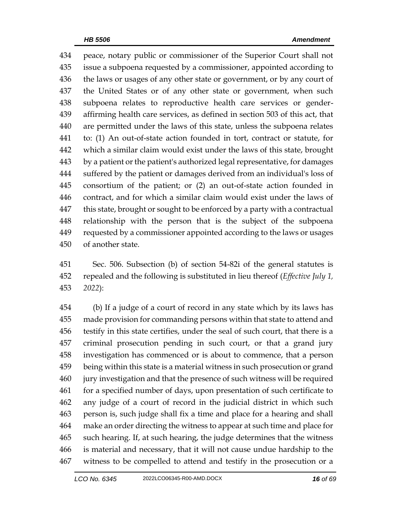peace, notary public or commissioner of the Superior Court shall not issue a subpoena requested by a commissioner, appointed according to the laws or usages of any other state or government, or by any court of the United States or of any other state or government, when such subpoena relates to reproductive health care services or gender- affirming health care services, as defined in section 503 of this act, that are permitted under the laws of this state, unless the subpoena relates to: (1) An out-of-state action founded in tort, contract or statute, for which a similar claim would exist under the laws of this state, brought by a patient or the patient's authorized legal representative, for damages suffered by the patient or damages derived from an individual's loss of consortium of the patient; or (2) an out-of-state action founded in contract, and for which a similar claim would exist under the laws of 447 this state, brought or sought to be enforced by a party with a contractual relationship with the person that is the subject of the subpoena requested by a commissioner appointed according to the laws or usages of another state.

 Sec. 506. Subsection (b) of section 54-82i of the general statutes is repealed and the following is substituted in lieu thereof (*Effective July 1, 2022*):

 (b) If a judge of a court of record in any state which by its laws has made provision for commanding persons within that state to attend and testify in this state certifies, under the seal of such court, that there is a criminal prosecution pending in such court, or that a grand jury investigation has commenced or is about to commence, that a person being within this state is a material witness in such prosecution or grand jury investigation and that the presence of such witness will be required for a specified number of days, upon presentation of such certificate to any judge of a court of record in the judicial district in which such person is, such judge shall fix a time and place for a hearing and shall make an order directing the witness to appear at such time and place for such hearing. If, at such hearing, the judge determines that the witness is material and necessary, that it will not cause undue hardship to the witness to be compelled to attend and testify in the prosecution or a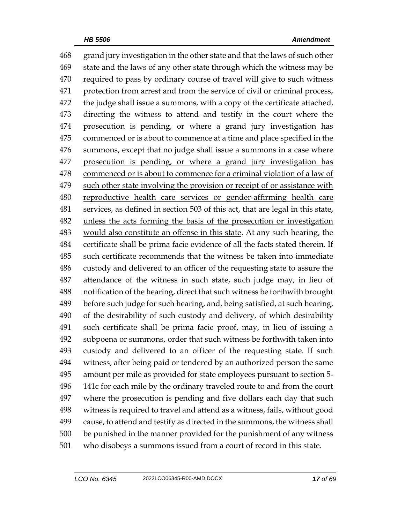grand jury investigation in the other state and that the laws of such other state and the laws of any other state through which the witness may be required to pass by ordinary course of travel will give to such witness protection from arrest and from the service of civil or criminal process, 472 the judge shall issue a summons, with a copy of the certificate attached, directing the witness to attend and testify in the court where the prosecution is pending, or where a grand jury investigation has commenced or is about to commence at a time and place specified in the summons, except that no judge shall issue a summons in a case where prosecution is pending, or where a grand jury investigation has commenced or is about to commence for a criminal violation of a law of such other state involving the provision or receipt of or assistance with reproductive health care services or gender-affirming health care services, as defined in section 503 of this act, that are legal in this state, unless the acts forming the basis of the prosecution or investigation would also constitute an offense in this state. At any such hearing, the certificate shall be prima facie evidence of all the facts stated therein. If such certificate recommends that the witness be taken into immediate custody and delivered to an officer of the requesting state to assure the attendance of the witness in such state, such judge may, in lieu of notification of the hearing, direct that such witness be forthwith brought before such judge for such hearing, and, being satisfied, at such hearing, of the desirability of such custody and delivery, of which desirability such certificate shall be prima facie proof, may, in lieu of issuing a subpoena or summons, order that such witness be forthwith taken into custody and delivered to an officer of the requesting state. If such witness, after being paid or tendered by an authorized person the same amount per mile as provided for state employees pursuant to section 5- 141c for each mile by the ordinary traveled route to and from the court where the prosecution is pending and five dollars each day that such witness is required to travel and attend as a witness, fails, without good cause, to attend and testify as directed in the summons, the witness shall be punished in the manner provided for the punishment of any witness who disobeys a summons issued from a court of record in this state.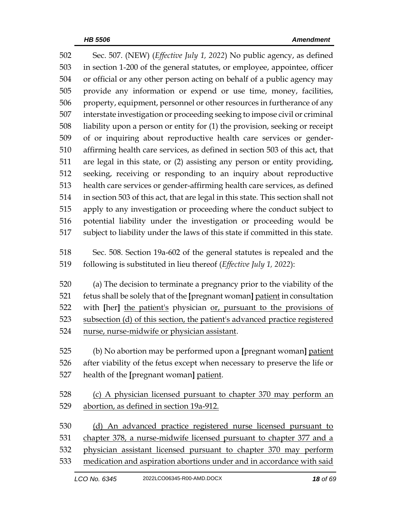| 502 | Sec. 507. (NEW) ( <i>Effective July 1, 2022</i> ) No public agency, as defined   |
|-----|----------------------------------------------------------------------------------|
| 503 | in section 1-200 of the general statutes, or employee, appointee, officer        |
| 504 | or official or any other person acting on behalf of a public agency may          |
| 505 | provide any information or expend or use time, money, facilities,                |
| 506 | property, equipment, personnel or other resources in furtherance of any          |
| 507 | interstate investigation or proceeding seeking to impose civil or criminal       |
| 508 | liability upon a person or entity for (1) the provision, seeking or receipt      |
| 509 | of or inquiring about reproductive health care services or gender-               |
| 510 | affirming health care services, as defined in section 503 of this act, that      |
| 511 | are legal in this state, or (2) assisting any person or entity providing,        |
| 512 | seeking, receiving or responding to an inquiry about reproductive                |
| 513 | health care services or gender-affirming health care services, as defined        |
| 514 | in section 503 of this act, that are legal in this state. This section shall not |
| 515 | apply to any investigation or proceeding where the conduct subject to            |
| 516 | potential liability under the investigation or proceeding would be               |
| 517 | subject to liability under the laws of this state if committed in this state.    |
| 518 | Sec. 508. Section 19a-602 of the general statutes is repealed and the            |
| 519 | following is substituted in lieu thereof (Effective July 1, 2022):               |
|     |                                                                                  |
| 520 | (a) The decision to terminate a pregnancy prior to the viability of the          |
| 521 | fetus shall be solely that of the [pregnant woman] patient in consultation       |
| 522 | with [her] the patient's physician or, pursuant to the provisions of             |
| 523 | subsection (d) of this section, the patient's advanced practice registered       |
| 524 | nurse, nurse-midwife or physician assistant.                                     |
| 525 | (b) No abortion may be performed upon a [pregnant woman] patient                 |
| 526 | after viability of the fetus except when necessary to preserve the life or       |
| 527 | health of the [pregnant woman] patient.                                          |
| 528 |                                                                                  |
| 529 | (c) A physician licensed pursuant to chapter 370 may perform an                  |
|     | abortion, as defined in section 19a-912.                                         |
| 530 | (d) An advanced practice registered nurse licensed pursuant to                   |
| 531 | chapter 378, a nurse-midwife licensed pursuant to chapter 377 and a              |
| 532 | physician assistant licensed pursuant to chapter 370 may perform                 |
| 533 | medication and aspiration abortions under and in accordance with said            |
|     |                                                                                  |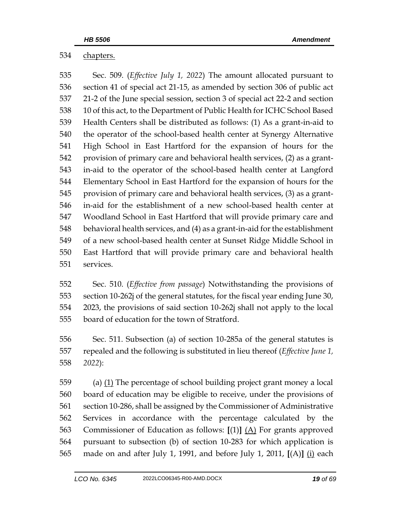chapters.

 Sec. 509. (*Effective July 1, 2022*) The amount allocated pursuant to section 41 of special act 21-15, as amended by section 306 of public act 21-2 of the June special session, section 3 of special act 22-2 and section 10 of this act, to the Department of Public Health for ICHC School Based Health Centers shall be distributed as follows: (1) As a grant-in-aid to the operator of the school-based health center at Synergy Alternative High School in East Hartford for the expansion of hours for the provision of primary care and behavioral health services, (2) as a grant- in-aid to the operator of the school-based health center at Langford Elementary School in East Hartford for the expansion of hours for the provision of primary care and behavioral health services, (3) as a grant- in-aid for the establishment of a new school-based health center at Woodland School in East Hartford that will provide primary care and behavioral health services, and (4) as a grant-in-aid for the establishment of a new school-based health center at Sunset Ridge Middle School in East Hartford that will provide primary care and behavioral health services.

 Sec. 510. (*Effective from passage*) Notwithstanding the provisions of section 10-262j of the general statutes, for the fiscal year ending June 30, 2023, the provisions of said section 10-262j shall not apply to the local board of education for the town of Stratford.

 Sec. 511. Subsection (a) of section 10-285a of the general statutes is repealed and the following is substituted in lieu thereof (*Effective June 1, 2022*):

 (a) (1) The percentage of school building project grant money a local board of education may be eligible to receive, under the provisions of section 10-286, shall be assigned by the Commissioner of Administrative Services in accordance with the percentage calculated by the Commissioner of Education as follows: **[**(1)**]** (A) For grants approved pursuant to subsection (b) of section 10-283 for which application is made on and after July 1, 1991, and before July 1, 2011, **[**(A)**]** (i) each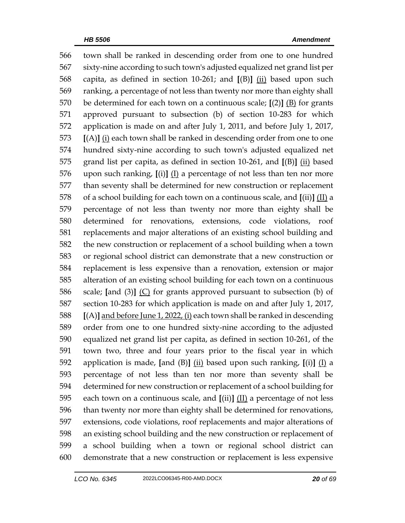town shall be ranked in descending order from one to one hundred sixty-nine according to such town's adjusted equalized net grand list per capita, as defined in section 10-261; and **[**(B)**]** (ii) based upon such ranking, a percentage of not less than twenty nor more than eighty shall be determined for each town on a continuous scale; **[**(2)**]** (B) for grants approved pursuant to subsection (b) of section 10-283 for which application is made on and after July 1, 2011, and before July 1, 2017, **[**(A)**]** (i) each town shall be ranked in descending order from one to one hundred sixty-nine according to such town's adjusted equalized net grand list per capita, as defined in section 10-261, and **[**(B)**]** (ii) based upon such ranking, **[**(i)**]** (I) a percentage of not less than ten nor more than seventy shall be determined for new construction or replacement of a school building for each town on a continuous scale, and **[**(ii)**]** (II) a percentage of not less than twenty nor more than eighty shall be determined for renovations, extensions, code violations, roof replacements and major alterations of an existing school building and the new construction or replacement of a school building when a town or regional school district can demonstrate that a new construction or replacement is less expensive than a renovation, extension or major alteration of an existing school building for each town on a continuous scale; **[**and (3)**]** (C) for grants approved pursuant to subsection (b) of section 10-283 for which application is made on and after July 1, 2017, **[**(A)**]** and before June 1, 2022, (i) each town shall be ranked in descending order from one to one hundred sixty-nine according to the adjusted equalized net grand list per capita, as defined in section 10-261, of the town two, three and four years prior to the fiscal year in which application is made, **[**and (B)**]** (ii) based upon such ranking, **[**(i)**]** (I) a percentage of not less than ten nor more than seventy shall be determined for new construction or replacement of a school building for each town on a continuous scale, and **[**(ii)**]** (II) a percentage of not less than twenty nor more than eighty shall be determined for renovations, extensions, code violations, roof replacements and major alterations of an existing school building and the new construction or replacement of a school building when a town or regional school district can demonstrate that a new construction or replacement is less expensive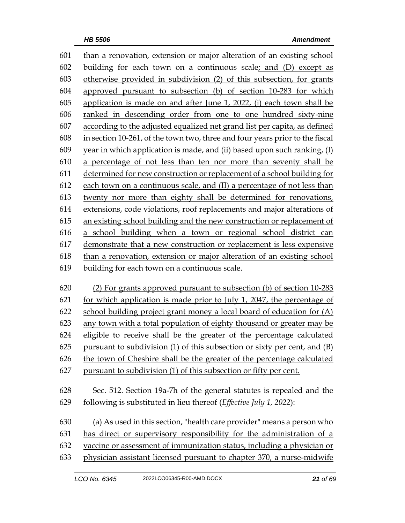than a renovation, extension or major alteration of an existing school building for each town on a continuous scale; and (D) except as otherwise provided in subdivision (2) of this subsection, for grants approved pursuant to subsection (b) of section 10-283 for which application is made on and after June 1, 2022, (i) each town shall be ranked in descending order from one to one hundred sixty-nine according to the adjusted equalized net grand list per capita, as defined in section 10-261, of the town two, three and four years prior to the fiscal 609 year in which application is made, and (ii) based upon such ranking,  $(I)$  a percentage of not less than ten nor more than seventy shall be determined for new construction or replacement of a school building for each town on a continuous scale, and (II) a percentage of not less than twenty nor more than eighty shall be determined for renovations, extensions, code violations, roof replacements and major alterations of an existing school building and the new construction or replacement of a school building when a town or regional school district can demonstrate that a new construction or replacement is less expensive than a renovation, extension or major alteration of an existing school building for each town on a continuous scale.

 (2) For grants approved pursuant to subsection (b) of section 10-283 for which application is made prior to July 1, 2047, the percentage of school building project grant money a local board of education for (A) any town with a total population of eighty thousand or greater may be eligible to receive shall be the greater of the percentage calculated pursuant to subdivision (1) of this subsection or sixty per cent, and (B) the town of Cheshire shall be the greater of the percentage calculated pursuant to subdivision (1) of this subsection or fifty per cent.

Sec. 512. Section 19a-7h of the general statutes is repealed and the

following is substituted in lieu thereof (*Effective July 1, 2022*):

 (a) As used in this section, "health care provider" means a person who has direct or supervisory responsibility for the administration of a

vaccine or assessment of immunization status, including a physician or

physician assistant licensed pursuant to chapter 370, a nurse-midwife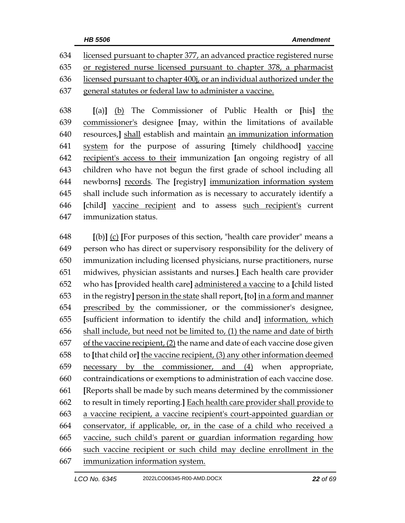licensed pursuant to chapter 377, an advanced practice registered nurse or registered nurse licensed pursuant to chapter 378, a pharmacist licensed pursuant to chapter 400j, or an individual authorized under the general statutes or federal law to administer a vaccine.

 **[**(a)**]** (b) The Commissioner of Public Health or **[**his**]** the commissioner's designee **[**may, within the limitations of available resources,**]** shall establish and maintain an immunization information system for the purpose of assuring **[**timely childhood**]** vaccine recipient's access to their immunization **[**an ongoing registry of all children who have not begun the first grade of school including all newborns**]** records. The **[**registry**]** immunization information system shall include such information as is necessary to accurately identify a **[**child**]** vaccine recipient and to assess such recipient's current immunization status.

 **[**(b)**]** (c) **[**For purposes of this section, "health care provider" means a person who has direct or supervisory responsibility for the delivery of immunization including licensed physicians, nurse practitioners, nurse midwives, physician assistants and nurses.**]** Each health care provider who has **[**provided health care**]** administered a vaccine to a **[**child listed in the registry**]** person in the state shall report, **[**to**]** in a form and manner prescribed by the commissioner, or the commissioner's designee, **[**sufficient information to identify the child and**]** information, which shall include, but need not be limited to, (1) the name and date of birth 657 of the vaccine recipient,  $(2)$  the name and date of each vaccine dose given to **[**that child or**]** the vaccine recipient, (3) any other information deemed necessary by the commissioner, and (4) when appropriate, contraindications or exemptions to administration of each vaccine dose. **[**Reports shall be made by such means determined by the commissioner to result in timely reporting.**]** Each health care provider shall provide to a vaccine recipient, a vaccine recipient's court-appointed guardian or conservator, if applicable, or, in the case of a child who received a vaccine, such child's parent or guardian information regarding how such vaccine recipient or such child may decline enrollment in the immunization information system.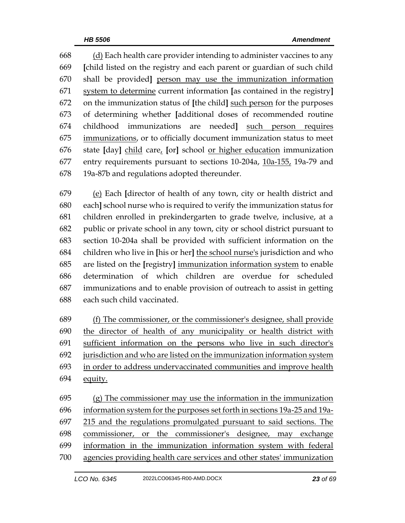(d) Each health care provider intending to administer vaccines to any **[**child listed on the registry and each parent or guardian of such child shall be provided**]** person may use the immunization information system to determine current information **[**as contained in the registry**]** on the immunization status of **[**the child**]** such person for the purposes of determining whether **[**additional doses of recommended routine childhood immunizations are needed**]** such person requires immunizations, or to officially document immunization status to meet state **[**day**]** child care, **[**or**]** school or higher education immunization entry requirements pursuant to sections 10-204a, 10a-155, 19a-79 and 19a-87b and regulations adopted thereunder.

 (e) Each **[**director of health of any town, city or health district and each**]** school nurse who is required to verify the immunization status for children enrolled in prekindergarten to grade twelve, inclusive, at a public or private school in any town, city or school district pursuant to section 10-204a shall be provided with sufficient information on the children who live in **[**his or her**]** the school nurse's jurisdiction and who are listed on the **[**registry**]** immunization information system to enable determination of which children are overdue for scheduled immunizations and to enable provision of outreach to assist in getting each such child vaccinated.

 (f) The commissioner, or the commissioner's designee, shall provide the director of health of any municipality or health district with sufficient information on the persons who live in such director's jurisdiction and who are listed on the immunization information system in order to address undervaccinated communities and improve health equity.

 (g) The commissioner may use the information in the immunization information system for the purposes set forth in sections 19a-25 and 19a- 215 and the regulations promulgated pursuant to said sections. The commissioner, or the commissioner's designee, may exchange information in the immunization information system with federal agencies providing health care services and other states' immunization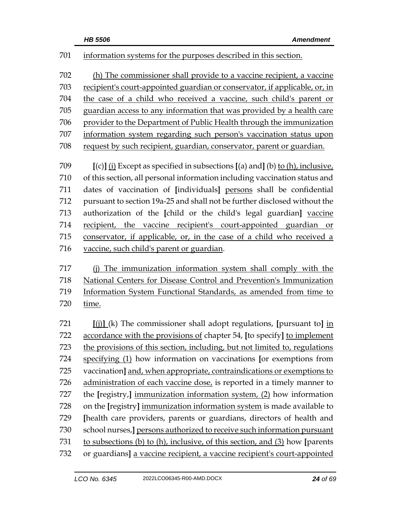| 701 | information systems for the purposes described in this section.                                 |
|-----|-------------------------------------------------------------------------------------------------|
| 702 | (h) The commissioner shall provide to a vaccine recipient, a vaccine                            |
| 703 | recipient's court-appointed guardian or conservator, if applicable, or, in                      |
| 704 | the case of a child who received a vaccine, such child's parent or                              |
| 705 | guardian access to any information that was provided by a health care                           |
| 706 | provider to the Department of Public Health through the immunization                            |
| 707 | information system regarding such person's vaccination status upon                              |
| 708 | request by such recipient, guardian, conservator, parent or guardian.                           |
| 709 | $[(c)]$ (i) Except as specified in subsections $[(a)$ and] (b) to (h), inclusive,               |
| 710 | of this section, all personal information including vaccination status and                      |
| 711 | dates of vaccination of [individuals] persons shall be confidential                             |
| 712 | pursuant to section 19a-25 and shall not be further disclosed without the                       |
| 713 | authorization of the [child or the child's legal guardian] vaccine                              |
| 714 | recipient, the vaccine recipient's court-appointed guardian<br>or                               |
| 715 | conservator, if applicable, or, in the case of a child who received a                           |
| 716 | vaccine, such child's parent or guardian.                                                       |
| 717 | (j) The immunization information system shall comply with the                                   |
| 718 | National Centers for Disease Control and Prevention's Immunization                              |
| 719 | Information System Functional Standards, as amended from time to                                |
| 720 | time.                                                                                           |
| 721 | $\left[\right(\text{ii})\right]$ (k) The commissioner shall adopt regulations, [pursuant to] in |
| 722 | accordance with the provisions of chapter 54, [to specify] to implement                         |
| 723 | the provisions of this section, including, but not limited to, regulations                      |
| 724 | specifying (1) how information on vaccinations [or exemptions from                              |
| 725 | vaccination] and, when appropriate, contraindications or exemptions to                          |
| 726 | administration of each vaccine dose, is reported in a timely manner to                          |
| 727 | the [registry,] immunization information system, (2) how information                            |
| 728 | on the [registry] immunization information system is made available to                          |
| 729 | [health care providers, parents or guardians, directors of health and                           |
| 730 | school nurses, ] persons authorized to receive such information pursuant                        |
| 731 | to subsections (b) to (h), inclusive, of this section, and (3) how [parents                     |
| 732 | or guardians] a vaccine recipient, a vaccine recipient's court-appointed                        |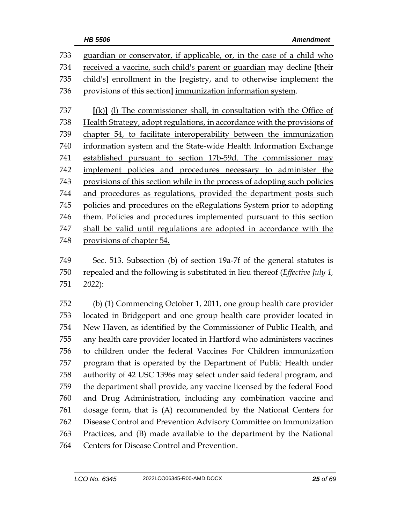| 733 | guardian or conservator, if applicable, or, in the case of a child who    |
|-----|---------------------------------------------------------------------------|
| 734 | received a vaccine, such child's parent or guardian may decline [their    |
| 735 | child's] enrollment in the [registry, and to otherwise implement the      |
| 736 | provisions of this section] immunization information system.              |
| 737 | $[(k)]$ (1) The commissioner shall, in consultation with the Office of    |
| 738 | Health Strategy, adopt regulations, in accordance with the provisions of  |
| 739 | chapter 54, to facilitate interoperability between the immunization       |
| 740 | information system and the State-wide Health Information Exchange         |
| 741 | established pursuant to section 17b-59d. The commissioner may             |
| 742 | implement policies and procedures necessary to administer the             |
| 743 | provisions of this section while in the process of adopting such policies |
| 744 | and procedures as regulations, provided the department posts such         |
| 745 | policies and procedures on the eRegulations System prior to adopting      |
| 746 | them. Policies and procedures implemented pursuant to this section        |
| 747 | shall be valid until regulations are adopted in accordance with the       |
| 748 | provisions of chapter 54.                                                 |

 Sec. 513. Subsection (b) of section 19a-7f of the general statutes is repealed and the following is substituted in lieu thereof (*Effective July 1, 2022*):

 (b) (1) Commencing October 1, 2011, one group health care provider located in Bridgeport and one group health care provider located in New Haven, as identified by the Commissioner of Public Health, and any health care provider located in Hartford who administers vaccines to children under the federal Vaccines For Children immunization program that is operated by the Department of Public Health under authority of 42 USC 1396s may select under said federal program, and the department shall provide, any vaccine licensed by the federal Food and Drug Administration, including any combination vaccine and dosage form, that is (A) recommended by the National Centers for Disease Control and Prevention Advisory Committee on Immunization Practices, and (B) made available to the department by the National Centers for Disease Control and Prevention.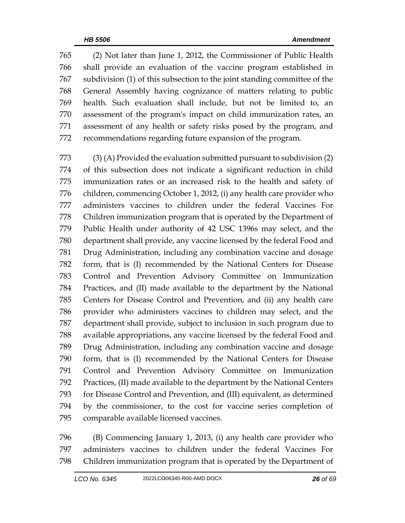(2) Not later than June 1, 2012, the Commissioner of Public Health shall provide an evaluation of the vaccine program established in subdivision (1) of this subsection to the joint standing committee of the General Assembly having cognizance of matters relating to public health. Such evaluation shall include, but not be limited to, an assessment of the program's impact on child immunization rates, an assessment of any health or safety risks posed by the program, and recommendations regarding future expansion of the program.

 (3) (A) Provided the evaluation submitted pursuant to subdivision (2) of this subsection does not indicate a significant reduction in child immunization rates or an increased risk to the health and safety of children, commencing October 1, 2012, (i) any health care provider who administers vaccines to children under the federal Vaccines For Children immunization program that is operated by the Department of Public Health under authority of 42 USC 1396s may select, and the department shall provide, any vaccine licensed by the federal Food and Drug Administration, including any combination vaccine and dosage form, that is (I) recommended by the National Centers for Disease Control and Prevention Advisory Committee on Immunization Practices, and (II) made available to the department by the National Centers for Disease Control and Prevention, and (ii) any health care provider who administers vaccines to children may select, and the department shall provide, subject to inclusion in such program due to available appropriations, any vaccine licensed by the federal Food and Drug Administration, including any combination vaccine and dosage form, that is (I) recommended by the National Centers for Disease Control and Prevention Advisory Committee on Immunization Practices, (II) made available to the department by the National Centers for Disease Control and Prevention, and (III) equivalent, as determined by the commissioner, to the cost for vaccine series completion of comparable available licensed vaccines.

 (B) Commencing January 1, 2013, (i) any health care provider who administers vaccines to children under the federal Vaccines For Children immunization program that is operated by the Department of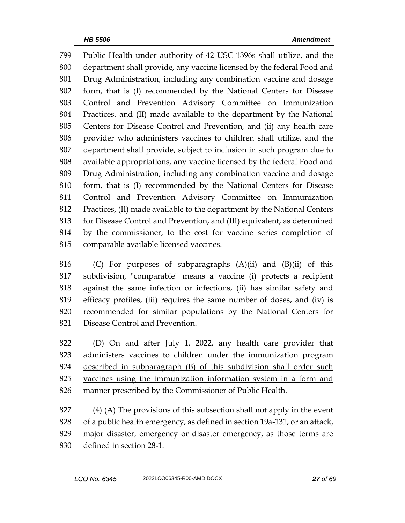Public Health under authority of 42 USC 1396s shall utilize, and the department shall provide, any vaccine licensed by the federal Food and Drug Administration, including any combination vaccine and dosage form, that is (I) recommended by the National Centers for Disease Control and Prevention Advisory Committee on Immunization Practices, and (II) made available to the department by the National Centers for Disease Control and Prevention, and (ii) any health care provider who administers vaccines to children shall utilize, and the department shall provide, subject to inclusion in such program due to available appropriations, any vaccine licensed by the federal Food and Drug Administration, including any combination vaccine and dosage form, that is (I) recommended by the National Centers for Disease Control and Prevention Advisory Committee on Immunization Practices, (II) made available to the department by the National Centers for Disease Control and Prevention, and (III) equivalent, as determined by the commissioner, to the cost for vaccine series completion of comparable available licensed vaccines.

 (C) For purposes of subparagraphs (A)(ii) and (B)(ii) of this subdivision, "comparable" means a vaccine (i) protects a recipient against the same infection or infections, (ii) has similar safety and efficacy profiles, (iii) requires the same number of doses, and (iv) is recommended for similar populations by the National Centers for Disease Control and Prevention.

822 (D) On and after July 1, 2022, any health care provider that administers vaccines to children under the immunization program described in subparagraph (B) of this subdivision shall order such vaccines using the immunization information system in a form and manner prescribed by the Commissioner of Public Health.

 (4) (A) The provisions of this subsection shall not apply in the event of a public health emergency, as defined in section 19a-131, or an attack, major disaster, emergency or disaster emergency, as those terms are defined in section 28-1.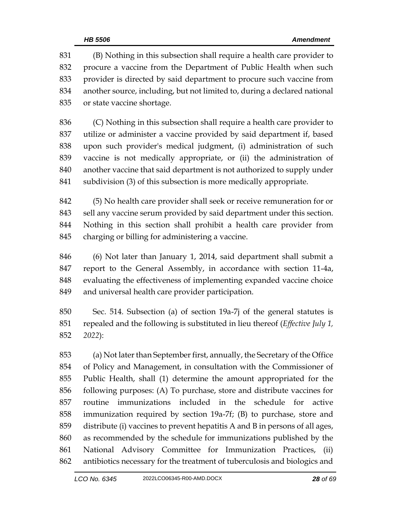(B) Nothing in this subsection shall require a health care provider to procure a vaccine from the Department of Public Health when such provider is directed by said department to procure such vaccine from another source, including, but not limited to, during a declared national or state vaccine shortage.

 (C) Nothing in this subsection shall require a health care provider to utilize or administer a vaccine provided by said department if, based upon such provider's medical judgment, (i) administration of such vaccine is not medically appropriate, or (ii) the administration of another vaccine that said department is not authorized to supply under subdivision (3) of this subsection is more medically appropriate.

 (5) No health care provider shall seek or receive remuneration for or sell any vaccine serum provided by said department under this section. Nothing in this section shall prohibit a health care provider from charging or billing for administering a vaccine.

 (6) Not later than January 1, 2014, said department shall submit a report to the General Assembly, in accordance with section 11-4a, evaluating the effectiveness of implementing expanded vaccine choice and universal health care provider participation.

 Sec. 514. Subsection (a) of section 19a-7j of the general statutes is repealed and the following is substituted in lieu thereof (*Effective July 1, 2022*):

 (a) Not later than September first, annually, the Secretary of the Office of Policy and Management, in consultation with the Commissioner of Public Health, shall (1) determine the amount appropriated for the following purposes: (A) To purchase, store and distribute vaccines for routine immunizations included in the schedule for active immunization required by section 19a-7f; (B) to purchase, store and distribute (i) vaccines to prevent hepatitis A and B in persons of all ages, as recommended by the schedule for immunizations published by the National Advisory Committee for Immunization Practices, (ii) antibiotics necessary for the treatment of tuberculosis and biologics and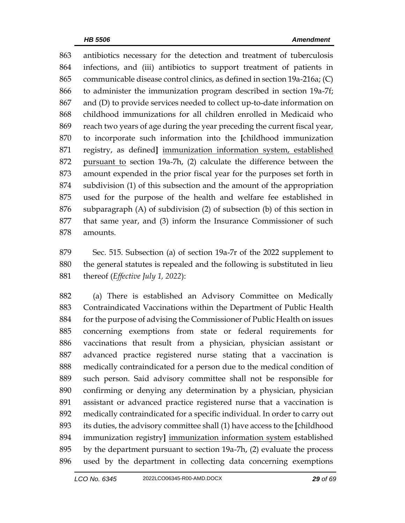antibiotics necessary for the detection and treatment of tuberculosis infections, and (iii) antibiotics to support treatment of patients in communicable disease control clinics, as defined in section 19a-216a; (C) to administer the immunization program described in section 19a-7f; and (D) to provide services needed to collect up-to-date information on childhood immunizations for all children enrolled in Medicaid who reach two years of age during the year preceding the current fiscal year, to incorporate such information into the **[**childhood immunization registry, as defined**]** immunization information system, established pursuant to section 19a-7h, (2) calculate the difference between the amount expended in the prior fiscal year for the purposes set forth in subdivision (1) of this subsection and the amount of the appropriation used for the purpose of the health and welfare fee established in subparagraph (A) of subdivision (2) of subsection (b) of this section in that same year, and (3) inform the Insurance Commissioner of such amounts.

 Sec. 515. Subsection (a) of section 19a-7r of the 2022 supplement to the general statutes is repealed and the following is substituted in lieu thereof (*Effective July 1, 2022*):

 (a) There is established an Advisory Committee on Medically Contraindicated Vaccinations within the Department of Public Health for the purpose of advising the Commissioner of Public Health on issues concerning exemptions from state or federal requirements for vaccinations that result from a physician, physician assistant or advanced practice registered nurse stating that a vaccination is medically contraindicated for a person due to the medical condition of such person. Said advisory committee shall not be responsible for confirming or denying any determination by a physician, physician assistant or advanced practice registered nurse that a vaccination is medically contraindicated for a specific individual. In order to carry out its duties, the advisory committee shall (1) have access to the **[**childhood immunization registry**]** immunization information system established by the department pursuant to section 19a-7h, (2) evaluate the process used by the department in collecting data concerning exemptions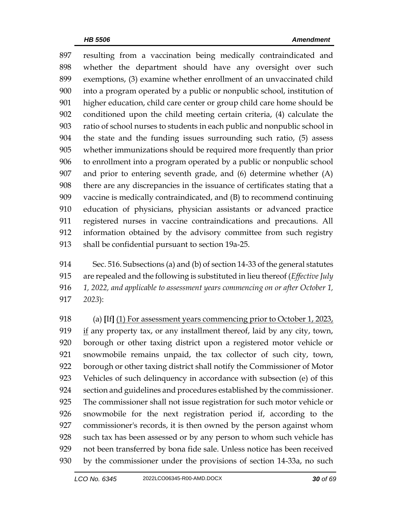resulting from a vaccination being medically contraindicated and whether the department should have any oversight over such exemptions, (3) examine whether enrollment of an unvaccinated child into a program operated by a public or nonpublic school, institution of higher education, child care center or group child care home should be conditioned upon the child meeting certain criteria, (4) calculate the ratio of school nurses to students in each public and nonpublic school in the state and the funding issues surrounding such ratio, (5) assess whether immunizations should be required more frequently than prior to enrollment into a program operated by a public or nonpublic school and prior to entering seventh grade, and (6) determine whether (A) there are any discrepancies in the issuance of certificates stating that a vaccine is medically contraindicated, and (B) to recommend continuing education of physicians, physician assistants or advanced practice registered nurses in vaccine contraindications and precautions. All information obtained by the advisory committee from such registry shall be confidential pursuant to section 19a-25.

 Sec. 516. Subsections (a) and (b) of section 14-33 of the general statutes are repealed and the following is substituted in lieu thereof (*Effective July 1, 2022, and applicable to assessment years commencing on or after October 1, 2023*):

 (a) **[**If**]** (1) For assessment years commencing prior to October 1, 2023, if any property tax, or any installment thereof, laid by any city, town, borough or other taxing district upon a registered motor vehicle or snowmobile remains unpaid, the tax collector of such city, town, borough or other taxing district shall notify the Commissioner of Motor Vehicles of such delinquency in accordance with subsection (e) of this section and guidelines and procedures established by the commissioner. The commissioner shall not issue registration for such motor vehicle or snowmobile for the next registration period if, according to the commissioner's records, it is then owned by the person against whom such tax has been assessed or by any person to whom such vehicle has not been transferred by bona fide sale. Unless notice has been received by the commissioner under the provisions of section 14-33a, no such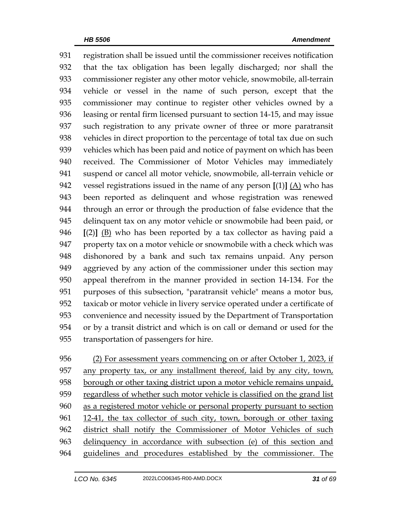registration shall be issued until the commissioner receives notification that the tax obligation has been legally discharged; nor shall the commissioner register any other motor vehicle, snowmobile, all-terrain vehicle or vessel in the name of such person, except that the commissioner may continue to register other vehicles owned by a leasing or rental firm licensed pursuant to section 14-15, and may issue such registration to any private owner of three or more paratransit vehicles in direct proportion to the percentage of total tax due on such vehicles which has been paid and notice of payment on which has been received. The Commissioner of Motor Vehicles may immediately suspend or cancel all motor vehicle, snowmobile, all-terrain vehicle or vessel registrations issued in the name of any person **[**(1)**]** (A) who has been reported as delinquent and whose registration was renewed through an error or through the production of false evidence that the delinquent tax on any motor vehicle or snowmobile had been paid, or **[**(2)**]** (B) who has been reported by a tax collector as having paid a property tax on a motor vehicle or snowmobile with a check which was dishonored by a bank and such tax remains unpaid. Any person aggrieved by any action of the commissioner under this section may appeal therefrom in the manner provided in section 14-134. For the purposes of this subsection, "paratransit vehicle" means a motor bus, taxicab or motor vehicle in livery service operated under a certificate of convenience and necessity issued by the Department of Transportation or by a transit district and which is on call or demand or used for the transportation of passengers for hire.

956 (2) For assessment years commencing on or after October 1, 2023, if any property tax, or any installment thereof, laid by any city, town, 958 borough or other taxing district upon a motor vehicle remains unpaid, regardless of whether such motor vehicle is classified on the grand list as a registered motor vehicle or personal property pursuant to section 12-41, the tax collector of such city, town, borough or other taxing district shall notify the Commissioner of Motor Vehicles of such delinquency in accordance with subsection (e) of this section and guidelines and procedures established by the commissioner. The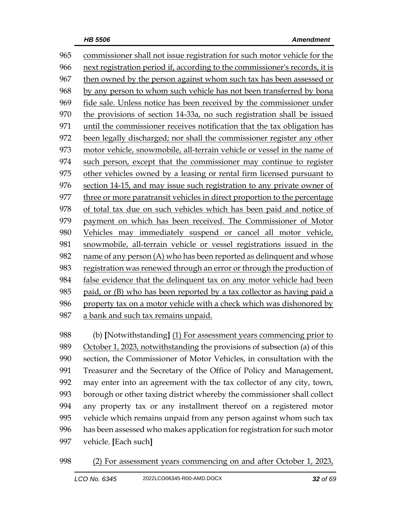commissioner shall not issue registration for such motor vehicle for the next registration period if, according to the commissioner's records, it is then owned by the person against whom such tax has been assessed or by any person to whom such vehicle has not been transferred by bona fide sale. Unless notice has been received by the commissioner under the provisions of section 14-33a, no such registration shall be issued until the commissioner receives notification that the tax obligation has been legally discharged; nor shall the commissioner register any other motor vehicle, snowmobile, all-terrain vehicle or vessel in the name of 974 such person, except that the commissioner may continue to register other vehicles owned by a leasing or rental firm licensed pursuant to section 14-15, and may issue such registration to any private owner of three or more paratransit vehicles in direct proportion to the percentage of total tax due on such vehicles which has been paid and notice of payment on which has been received. The Commissioner of Motor Vehicles may immediately suspend or cancel all motor vehicle, snowmobile, all-terrain vehicle or vessel registrations issued in the name of any person (A) who has been reported as delinquent and whose registration was renewed through an error or through the production of false evidence that the delinquent tax on any motor vehicle had been paid, or (B) who has been reported by a tax collector as having paid a property tax on a motor vehicle with a check which was dishonored by a bank and such tax remains unpaid.

 (b) **[**Notwithstanding**]** (1) For assessment years commencing prior to 989 October 1, 2023, notwithstanding the provisions of subsection (a) of this section, the Commissioner of Motor Vehicles, in consultation with the Treasurer and the Secretary of the Office of Policy and Management, may enter into an agreement with the tax collector of any city, town, borough or other taxing district whereby the commissioner shall collect any property tax or any installment thereof on a registered motor vehicle which remains unpaid from any person against whom such tax has been assessed who makes application for registration for such motor vehicle. **[**Each such**]**

(2) For assessment years commencing on and after October 1, 2023,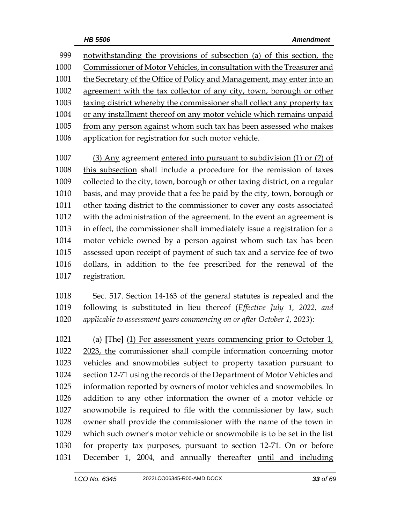notwithstanding the provisions of subsection (a) of this section, the Commissioner of Motor Vehicles, in consultation with the Treasurer and the Secretary of the Office of Policy and Management, may enter into an agreement with the tax collector of any city, town, borough or other taxing district whereby the commissioner shall collect any property tax or any installment thereof on any motor vehicle which remains unpaid from any person against whom such tax has been assessed who makes application for registration for such motor vehicle.

 (3) Any agreement entered into pursuant to subdivision (1) or (2) of this subsection shall include a procedure for the remission of taxes collected to the city, town, borough or other taxing district, on a regular basis, and may provide that a fee be paid by the city, town, borough or other taxing district to the commissioner to cover any costs associated with the administration of the agreement. In the event an agreement is in effect, the commissioner shall immediately issue a registration for a motor vehicle owned by a person against whom such tax has been assessed upon receipt of payment of such tax and a service fee of two dollars, in addition to the fee prescribed for the renewal of the registration.

 Sec. 517. Section 14-163 of the general statutes is repealed and the following is substituted in lieu thereof (*Effective July 1, 2022, and applicable to assessment years commencing on or after October 1, 2023*):

 (a) **[**The**]** (1) For assessment years commencing prior to October 1, 2023, the commissioner shall compile information concerning motor vehicles and snowmobiles subject to property taxation pursuant to section 12-71 using the records of the Department of Motor Vehicles and information reported by owners of motor vehicles and snowmobiles. In addition to any other information the owner of a motor vehicle or snowmobile is required to file with the commissioner by law, such owner shall provide the commissioner with the name of the town in which such owner's motor vehicle or snowmobile is to be set in the list for property tax purposes, pursuant to section 12-71. On or before December 1, 2004, and annually thereafter until and including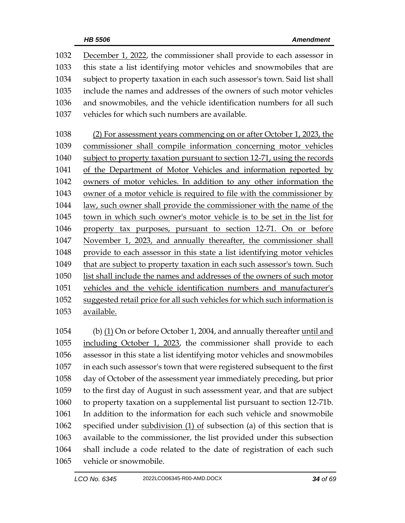| 1032 | December 1, 2022, the commissioner shall provide to each assessor in           |
|------|--------------------------------------------------------------------------------|
| 1033 | this state a list identifying motor vehicles and snowmobiles that are          |
| 1034 | subject to property taxation in each such assessor's town. Said list shall     |
| 1035 | include the names and addresses of the owners of such motor vehicles           |
| 1036 | and snowmobiles, and the vehicle identification numbers for all such           |
| 1037 | vehicles for which such numbers are available.                                 |
|      |                                                                                |
| 1038 | (2) For assessment years commencing on or after October 1, 2023, the           |
| 1039 | commissioner shall compile information concerning motor vehicles               |
| 1040 | subject to property taxation pursuant to section 12-71, using the records      |
| 1041 | of the Department of Motor Vehicles and information reported by                |
| 1042 | owners of motor vehicles. In addition to any other information the             |
| 1043 | owner of a motor vehicle is required to file with the commissioner by          |
| 1044 | <u>law, such owner shall provide the commissioner with the name of the law</u> |
| 1045 | town in which such owner's motor vehicle is to be set in the list for          |
| 1046 | property tax purposes, pursuant to section 12-71. On or before                 |
| 1047 | November 1, 2023, and annually thereafter, the commissioner shall              |
| 1048 | provide to each assessor in this state a list identifying motor vehicles       |
| 1049 | that are subject to property taxation in each such assessor's town. Such       |
| 1050 | list shall include the names and addresses of the owners of such motor         |
| 1051 | vehicles and the vehicle identification numbers and manufacturer's             |
| 1052 | suggested retail price for all such vehicles for which such information is     |
| 1053 | available.                                                                     |
|      |                                                                                |

1054 (b) (1) On or before October 1, 2004, and annually thereafter until and including October 1, 2023, the commissioner shall provide to each assessor in this state a list identifying motor vehicles and snowmobiles in each such assessor's town that were registered subsequent to the first day of October of the assessment year immediately preceding, but prior to the first day of August in such assessment year, and that are subject to property taxation on a supplemental list pursuant to section 12-71b. In addition to the information for each such vehicle and snowmobile specified under subdivision (1) of subsection (a) of this section that is available to the commissioner, the list provided under this subsection shall include a code related to the date of registration of each such vehicle or snowmobile.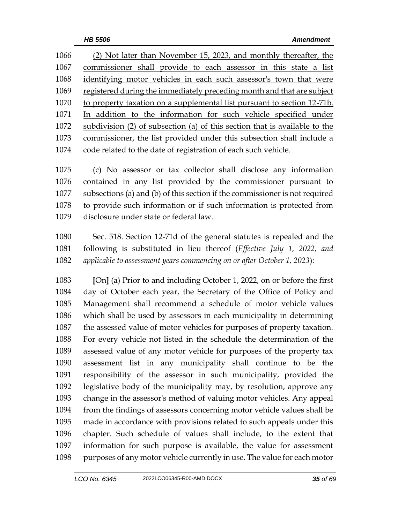(2) Not later than November 15, 2023, and monthly thereafter, the commissioner shall provide to each assessor in this state a list identifying motor vehicles in each such assessor's town that were registered during the immediately preceding month and that are subject 1070 to property taxation on a supplemental list pursuant to section 12-71b. In addition to the information for such vehicle specified under subdivision (2) of subsection (a) of this section that is available to the commissioner, the list provided under this subsection shall include a code related to the date of registration of each such vehicle.

 (c) No assessor or tax collector shall disclose any information contained in any list provided by the commissioner pursuant to subsections (a) and (b) of this section if the commissioner is not required to provide such information or if such information is protected from disclosure under state or federal law.

 Sec. 518. Section 12-71d of the general statutes is repealed and the following is substituted in lieu thereof (*Effective July 1, 2022, and applicable to assessment years commencing on or after October 1, 2023*):

 **[**On**]** (a) Prior to and including October 1, 2022, on or before the first day of October each year, the Secretary of the Office of Policy and Management shall recommend a schedule of motor vehicle values which shall be used by assessors in each municipality in determining the assessed value of motor vehicles for purposes of property taxation. For every vehicle not listed in the schedule the determination of the assessed value of any motor vehicle for purposes of the property tax assessment list in any municipality shall continue to be the responsibility of the assessor in such municipality, provided the legislative body of the municipality may, by resolution, approve any change in the assessor's method of valuing motor vehicles. Any appeal from the findings of assessors concerning motor vehicle values shall be made in accordance with provisions related to such appeals under this chapter. Such schedule of values shall include, to the extent that information for such purpose is available, the value for assessment purposes of any motor vehicle currently in use. The value for each motor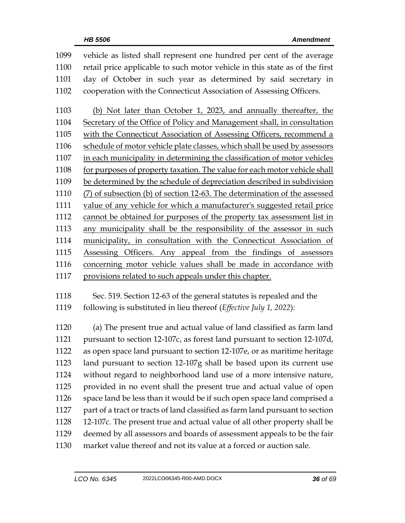vehicle as listed shall represent one hundred per cent of the average retail price applicable to such motor vehicle in this state as of the first day of October in such year as determined by said secretary in cooperation with the Connecticut Association of Assessing Officers. (b) Not later than October 1, 2023, and annually thereafter, the Secretary of the Office of Policy and Management shall, in consultation with the Connecticut Association of Assessing Officers, recommend a schedule of motor vehicle plate classes, which shall be used by assessors in each municipality in determining the classification of motor vehicles 1108 for purposes of property taxation. The value for each motor vehicle shall be determined by the schedule of depreciation described in subdivision (7) of subsection (b) of section 12-63. The determination of the assessed 1111 value of any vehicle for which a manufacturer's suggested retail price cannot be obtained for purposes of the property tax assessment list in any municipality shall be the responsibility of the assessor in such municipality, in consultation with the Connecticut Association of Assessing Officers. Any appeal from the findings of assessors concerning motor vehicle values shall be made in accordance with provisions related to such appeals under this chapter.

 Sec. 519. Section 12-63 of the general statutes is repealed and the following is substituted in lieu thereof (*Effective July 1, 2022*):

 (a) The present true and actual value of land classified as farm land pursuant to section 12-107c, as forest land pursuant to section 12-107d, as open space land pursuant to section 12-107e, or as maritime heritage land pursuant to section 12-107g shall be based upon its current use without regard to neighborhood land use of a more intensive nature, provided in no event shall the present true and actual value of open space land be less than it would be if such open space land comprised a part of a tract or tracts of land classified as farm land pursuant to section 12-107c. The present true and actual value of all other property shall be deemed by all assessors and boards of assessment appeals to be the fair market value thereof and not its value at a forced or auction sale.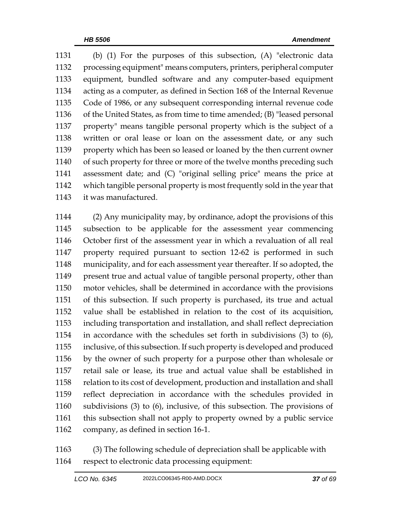(b) (1) For the purposes of this subsection, (A) "electronic data processing equipment" means computers, printers, peripheral computer equipment, bundled software and any computer-based equipment acting as a computer, as defined in Section 168 of the Internal Revenue Code of 1986, or any subsequent corresponding internal revenue code of the United States, as from time to time amended; (B) "leased personal property" means tangible personal property which is the subject of a written or oral lease or loan on the assessment date, or any such property which has been so leased or loaned by the then current owner 1140 of such property for three or more of the twelve months preceding such assessment date; and (C) "original selling price" means the price at which tangible personal property is most frequently sold in the year that it was manufactured.

 (2) Any municipality may, by ordinance, adopt the provisions of this subsection to be applicable for the assessment year commencing October first of the assessment year in which a revaluation of all real property required pursuant to section 12-62 is performed in such municipality, and for each assessment year thereafter. If so adopted, the present true and actual value of tangible personal property, other than motor vehicles, shall be determined in accordance with the provisions of this subsection. If such property is purchased, its true and actual value shall be established in relation to the cost of its acquisition, including transportation and installation, and shall reflect depreciation in accordance with the schedules set forth in subdivisions (3) to (6), inclusive, of this subsection. If such property is developed and produced by the owner of such property for a purpose other than wholesale or retail sale or lease, its true and actual value shall be established in relation to its cost of development, production and installation and shall reflect depreciation in accordance with the schedules provided in subdivisions (3) to (6), inclusive, of this subsection. The provisions of this subsection shall not apply to property owned by a public service company, as defined in section 16-1.

 (3) The following schedule of depreciation shall be applicable with respect to electronic data processing equipment: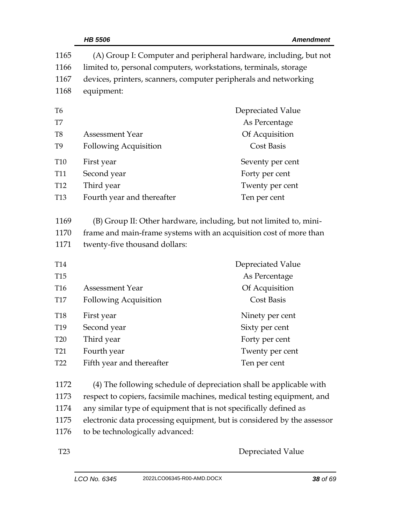|                 | <b>HB 5506</b>                                                    | <b>Amendment</b>                                                        |
|-----------------|-------------------------------------------------------------------|-------------------------------------------------------------------------|
| 1165            |                                                                   | (A) Group I: Computer and peripheral hardware, including, but not       |
| 1166            | limited to, personal computers, workstations, terminals, storage  |                                                                         |
| 1167            | devices, printers, scanners, computer peripherals and networking  |                                                                         |
| 1168            | equipment:                                                        |                                                                         |
| T <sub>6</sub>  |                                                                   | Depreciated Value                                                       |
| T7              |                                                                   | As Percentage                                                           |
| T <sub>8</sub>  | <b>Assessment Year</b>                                            | Of Acquisition                                                          |
| T <sub>9</sub>  | <b>Following Acquisition</b>                                      | <b>Cost Basis</b>                                                       |
| T10             | First year                                                        | Seventy per cent                                                        |
| <b>T11</b>      | Second year                                                       | Forty per cent                                                          |
| T <sub>12</sub> | Third year                                                        | Twenty per cent                                                         |
| <b>T13</b>      | Fourth year and thereafter                                        | Ten per cent                                                            |
| 1169            |                                                                   | (B) Group II: Other hardware, including, but not limited to, mini-      |
| 1170            |                                                                   | frame and main-frame systems with an acquisition cost of more than      |
| 1171            | twenty-five thousand dollars:                                     |                                                                         |
| <b>T14</b>      |                                                                   | Depreciated Value                                                       |
| <b>T15</b>      |                                                                   | As Percentage                                                           |
| T <sub>16</sub> | <b>Assessment Year</b>                                            | Of Acquisition                                                          |
| <b>T17</b>      | <b>Following Acquisition</b>                                      | <b>Cost Basis</b>                                                       |
| <b>T18</b>      | First year                                                        | Ninety per cent                                                         |
| T19             | Second year                                                       | Sixty per cent                                                          |
| <b>T20</b>      | Third year                                                        | Forty per cent                                                          |
| T <sub>21</sub> | Fourth year                                                       | Twenty per cent                                                         |
| T <sub>22</sub> | Fifth year and thereafter                                         | Ten per cent                                                            |
| 1172            |                                                                   | (4) The following schedule of depreciation shall be applicable with     |
| 1173            |                                                                   | respect to copiers, facsimile machines, medical testing equipment, and  |
| 1174            | any similar type of equipment that is not specifically defined as |                                                                         |
| 1175            |                                                                   | electronic data processing equipment, but is considered by the assessor |

1176 to be technologically advanced:

T23 Depreciated Value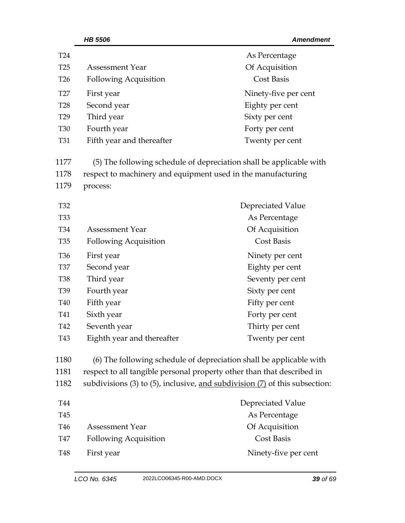| T24             |                                                              | As Percentage                                                               |
|-----------------|--------------------------------------------------------------|-----------------------------------------------------------------------------|
| T <sub>25</sub> | <b>Assessment Year</b>                                       | Of Acquisition                                                              |
| T <sub>26</sub> | <b>Following Acquisition</b>                                 | <b>Cost Basis</b>                                                           |
| T <sub>27</sub> | First year                                                   | Ninety-five per cent                                                        |
| <b>T28</b>      | Second year                                                  | Eighty per cent                                                             |
| T <sub>29</sub> | Third year                                                   | Sixty per cent                                                              |
| <b>T30</b>      | Fourth year                                                  | Forty per cent                                                              |
| T31             | Fifth year and thereafter                                    | Twenty per cent                                                             |
| 1177            |                                                              | (5) The following schedule of depreciation shall be applicable with         |
| 1178            | respect to machinery and equipment used in the manufacturing |                                                                             |
| 1179            | process:                                                     |                                                                             |
| T32             |                                                              | Depreciated Value                                                           |
| <b>T33</b>      |                                                              | As Percentage                                                               |
| T34             | <b>Assessment Year</b>                                       | Of Acquisition                                                              |
| T <sub>35</sub> | <b>Following Acquisition</b>                                 | <b>Cost Basis</b>                                                           |
| T <sub>36</sub> | First year                                                   | Ninety per cent                                                             |
| <b>T37</b>      | Second year                                                  | Eighty per cent                                                             |
| <b>T38</b>      | Third year                                                   | Seventy per cent                                                            |
| T <sub>39</sub> | Fourth year                                                  | Sixty per cent                                                              |
| <b>T40</b>      | Fifth year                                                   | Fifty per cent                                                              |
| T41             | Sixth year                                                   | Forty per cent                                                              |
| T42             | Seventh year                                                 | Thirty per cent                                                             |
| T43             | Eighth year and thereafter                                   | Twenty per cent                                                             |
| 1180            |                                                              | (6) The following schedule of depreciation shall be applicable with         |
| 1181            |                                                              | respect to all tangible personal property other than that described in      |
| 1182            |                                                              | subdivisions (3) to (5), inclusive, and subdivision (7) of this subsection: |
| T44             |                                                              | Depreciated Value                                                           |
| T45             |                                                              | As Percentage                                                               |
| T46             | <b>Assessment Year</b>                                       | Of Acquisition                                                              |
| T47             | <b>Following Acquisition</b>                                 | Cost Basis                                                                  |
| <b>T48</b>      | First year                                                   | Ninety-five per cent                                                        |

 *HB 5506 Amendment*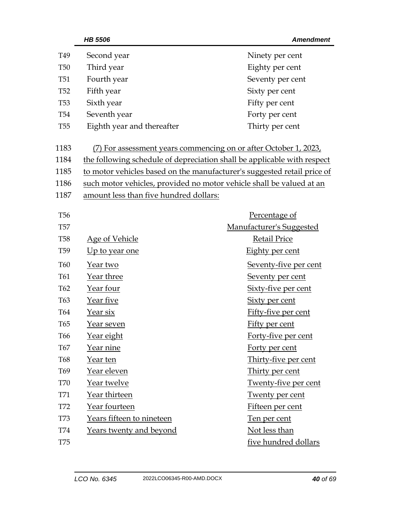|                 | <b>HB 5506</b>                         | <b>Amendment</b>                                                        |
|-----------------|----------------------------------------|-------------------------------------------------------------------------|
| T <sub>49</sub> | Second year                            | Ninety per cent                                                         |
| <b>T50</b>      | Third year                             | Eighty per cent                                                         |
| <b>T51</b>      | Fourth year                            | Seventy per cent                                                        |
| <b>T52</b>      | Fifth year                             | Sixty per cent                                                          |
| <b>T53</b>      | Sixth year                             | Fifty per cent                                                          |
| <b>T54</b>      | Seventh year                           | Forty per cent                                                          |
| <b>T55</b>      | Eighth year and thereafter             | Thirty per cent                                                         |
| 1183            |                                        | (7) For assessment years commencing on or after October 1, 2023,        |
| 1184            |                                        | the following schedule of depreciation shall be applicable with respect |
| 1185            |                                        | to motor vehicles based on the manufacturer's suggested retail price of |
| 1186            |                                        | such motor vehicles, provided no motor vehicle shall be valued at an    |
| 1187            | amount less than five hundred dollars: |                                                                         |
| <b>T56</b>      |                                        | Percentage of                                                           |
| <b>T57</b>      |                                        | Manufacturer's Suggested                                                |
| <b>T58</b>      | <b>Age of Vehicle</b>                  | <b>Retail Price</b>                                                     |
| T <sub>59</sub> | <u>Up to year one</u>                  | Eighty per cent                                                         |
| <b>T60</b>      | Year two                               | Seventy-five per cent                                                   |
| T61             | Year three                             | Seventy per cent                                                        |
| T <sub>62</sub> | Year four                              | Sixty-five per cent                                                     |
| T63             | Year five                              | <b>Sixty per cent</b>                                                   |
| <b>T64</b>      | <u>Year six</u>                        | Fifty-five per cent                                                     |
| T <sub>65</sub> | Year seven                             | <b>Fifty per cent</b>                                                   |
| T66             | Year eight                             | Forty-five per cent                                                     |
| <b>T67</b>      | Year nine                              | Forty per cent                                                          |
| <b>T68</b>      | Year ten                               | Thirty-five per cent                                                    |
| T <sub>69</sub> | Year eleven                            | Thirty per cent                                                         |
| <b>T70</b>      | Year twelve                            | Twenty-five per cent                                                    |
| <b>T71</b>      | Year thirteen                          | <b>Twenty per cent</b>                                                  |
| <b>T72</b>      | Year fourteen                          | Fifteen per cent                                                        |
| <b>T73</b>      | Years fifteen to nineteen              | Ten per cent                                                            |
| <b>T74</b>      | Years twenty and beyond                | Not less than                                                           |
| <b>T75</b>      |                                        | five hundred dollars                                                    |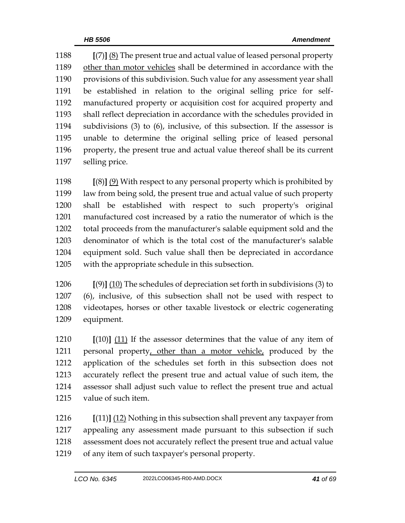**[**(7)**]** (8) The present true and actual value of leased personal property other than motor vehicles shall be determined in accordance with the provisions of this subdivision. Such value for any assessment year shall be established in relation to the original selling price for self- manufactured property or acquisition cost for acquired property and shall reflect depreciation in accordance with the schedules provided in subdivisions (3) to (6), inclusive, of this subsection. If the assessor is unable to determine the original selling price of leased personal property, the present true and actual value thereof shall be its current selling price.

 **[**(8)**]** (9) With respect to any personal property which is prohibited by law from being sold, the present true and actual value of such property shall be established with respect to such property's original manufactured cost increased by a ratio the numerator of which is the total proceeds from the manufacturer's salable equipment sold and the denominator of which is the total cost of the manufacturer's salable equipment sold. Such value shall then be depreciated in accordance with the appropriate schedule in this subsection.

 **[**(9)**]** (10) The schedules of depreciation set forth in subdivisions (3) to (6), inclusive, of this subsection shall not be used with respect to videotapes, horses or other taxable livestock or electric cogenerating equipment.

 **[**(10)**]** (11) If the assessor determines that the value of any item of 1211 personal property, other than a motor vehicle, produced by the application of the schedules set forth in this subsection does not accurately reflect the present true and actual value of such item, the assessor shall adjust such value to reflect the present true and actual value of such item.

 **[**(11)**]** (12) Nothing in this subsection shall prevent any taxpayer from appealing any assessment made pursuant to this subsection if such assessment does not accurately reflect the present true and actual value of any item of such taxpayer's personal property.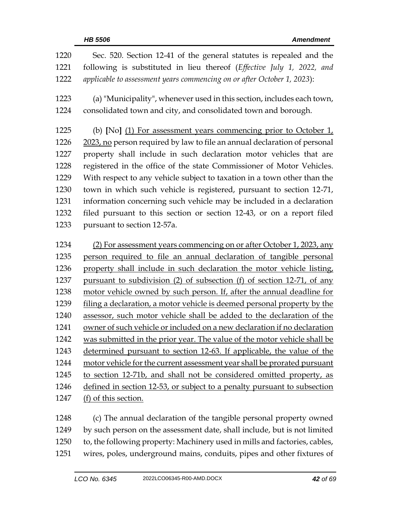| 1220 | Sec. 520. Section 12-41 of the general statutes is repealed and the       |
|------|---------------------------------------------------------------------------|
| 1221 | following is substituted in lieu thereof (Effective July 1, 2022, and     |
| 1222 | applicable to assessment years commencing on or after October 1, 2023):   |
| 1223 | (a) "Municipality", whenever used in this section, includes each town,    |
| 1224 | consolidated town and city, and consolidated town and borough.            |
| 1225 | (b) [No] (1) For assessment years commencing prior to October 1,          |
| 1226 | 2023, no person required by law to file an annual declaration of personal |
| 1227 | property shall include in such declaration motor vehicles that are        |
| 1228 | registered in the office of the state Commissioner of Motor Vehicles.     |
| 1229 | With respect to any vehicle subject to taxation in a town other than the  |
| 1230 | town in which such vehicle is registered, pursuant to section 12-71,      |
| 1231 | information concerning such vehicle may be included in a declaration      |
| 1232 | filed pursuant to this section or section 12-43, or on a report filed     |
| 1233 | pursuant to section 12-57a.                                               |
|      |                                                                           |
| 1234 | (2) For assessment years commencing on or after October 1, 2023, any      |
| 1235 | person required to file an annual declaration of tangible personal        |
| 1236 | property shall include in such declaration the motor vehicle listing,     |
| 1237 | pursuant to subdivision (2) of subsection (f) of section 12-71, of any    |
| 1238 | motor vehicle owned by such person. If, after the annual deadline for     |
| 1239 | filing a declaration, a motor vehicle is deemed personal property by the  |
| 1240 | assessor, such motor vehicle shall be added to the declaration of the     |
| 1241 | owner of such vehicle or included on a new declaration if no declaration  |
| 1242 | was submitted in the prior year. The value of the motor vehicle shall be  |
| 1243 | determined pursuant to section 12-63. If applicable, the value of the     |
| 1244 | motor vehicle for the current assessment year shall be prorated pursuant  |
| 1245 | to section 12-71b, and shall not be considered omitted property, as       |
| 1246 | defined in section 12-53, or subject to a penalty pursuant to subsection  |
| 1247 | (f) of this section.                                                      |
| 1248 | (c) The annual declaration of the tangible personal property owned        |
| 1249 | by such person on the assessment date, shall include, but is not limited  |

- to, the following property: Machinery used in mills and factories, cables,
- wires, poles, underground mains, conduits, pipes and other fixtures of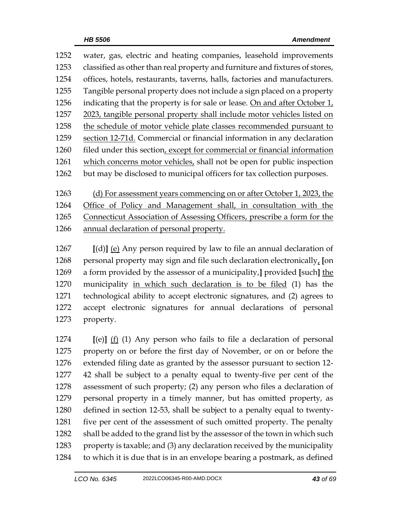| 1252 | water, gas, electric and heating companies, leasehold improvements           |
|------|------------------------------------------------------------------------------|
| 1253 | classified as other than real property and furniture and fixtures of stores, |
| 1254 | offices, hotels, restaurants, taverns, halls, factories and manufacturers.   |
| 1255 | Tangible personal property does not include a sign placed on a property      |
| 1256 | indicating that the property is for sale or lease. On and after October 1,   |
| 1257 | 2023, tangible personal property shall include motor vehicles listed on      |
| 1258 | the schedule of motor vehicle plate classes recommended pursuant to          |
| 1259 | section 12-71d. Commercial or financial information in any declaration       |
| 1260 | filed under this section, except for commercial or financial information     |
| 1261 | which concerns motor vehicles, shall not be open for public inspection       |
| 1262 | but may be disclosed to municipal officers for tax collection purposes.      |
|      |                                                                              |
| 1263 | (d) For assessment years commencing on or after October 1, 2023, the         |
| 1264 | Office of Policy and Management shall, in consultation with the              |

Connecticut Association of Assessing Officers, prescribe a form for the

annual declaration of personal property.

 **[**(d)**]** (e) Any person required by law to file an annual declaration of personal property may sign and file such declaration electronically, **[**on a form provided by the assessor of a municipality,**]** provided **[**such**]** the municipality in which such declaration is to be filed (1) has the technological ability to accept electronic signatures, and (2) agrees to accept electronic signatures for annual declarations of personal property.

 **[**(e)**]** (f) (1) Any person who fails to file a declaration of personal property on or before the first day of November, or on or before the extended filing date as granted by the assessor pursuant to section 12- 42 shall be subject to a penalty equal to twenty-five per cent of the assessment of such property; (2) any person who files a declaration of personal property in a timely manner, but has omitted property, as defined in section 12-53, shall be subject to a penalty equal to twenty-1281 five per cent of the assessment of such omitted property. The penalty shall be added to the grand list by the assessor of the town in which such property is taxable; and (3) any declaration received by the municipality to which it is due that is in an envelope bearing a postmark, as defined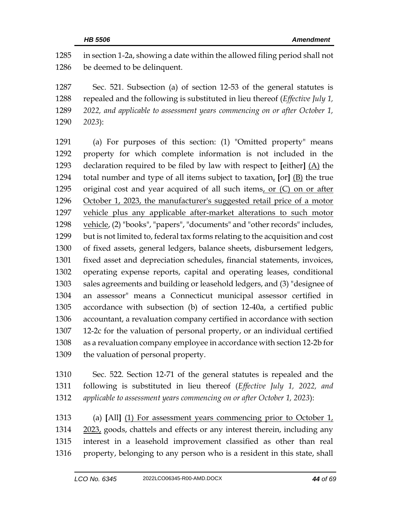| 1285 | in section 1-2a, showing a date within the allowed filing period shall not    |
|------|-------------------------------------------------------------------------------|
| 1286 | be deemed to be delinquent.                                                   |
| 1287 | Sec. 521. Subsection (a) of section 12-53 of the general statutes is          |
| 1288 | repealed and the following is substituted in lieu thereof (Effective July 1,  |
| 1289 | 2022, and applicable to assessment years commencing on or after October 1,    |
| 1290 | 2023):                                                                        |
| 1291 | (a) For purposes of this section: (1) "Omitted property" means                |
| 1292 | property for which complete information is not included in the                |
| 1293 | declaration required to be filed by law with respect to [either] $(A)$ the    |
| 1294 | total number and type of all items subject to taxation, $[or]$ $(B)$ the true |
| 1295 | original cost and year acquired of all such items, or (C) on or after         |
| 1296 | October 1, 2023, the manufacturer's suggested retail price of a motor         |
| 1297 | vehicle plus any applicable after-market alterations to such motor            |
| 1298 | vehicle, (2) "books", "papers", "documents" and "other records" includes,     |
| 1299 | but is not limited to, federal tax forms relating to the acquisition and cost |
| 1300 | of fixed assets, general ledgers, balance sheets, disbursement ledgers,       |
| 1301 | fixed asset and depreciation schedules, financial statements, invoices,       |
| 1302 | operating expense reports, capital and operating leases, conditional          |
| 1303 | sales agreements and building or leasehold ledgers, and (3) "designee of      |
| 1304 | an assessor" means a Connecticut municipal assessor certified in              |
| 1305 | accordance with subsection (b) of section 12-40a, a certified public          |
| 1306 | accountant, a revaluation company certified in accordance with section        |
| 1307 | 12-2c for the valuation of personal property, or an individual certified      |
| 1308 | as a revaluation company employee in accordance with section 12-2b for        |
| 1309 | the valuation of personal property.                                           |
| 1310 | Sec. 522. Section 12-71 of the general statutes is repealed and the           |
| 1311 | following is substituted in lieu thereof (Effective July 1, 2022, and         |
| 1312 | applicable to assessment years commencing on or after October 1, 2023):       |

 (a) **[**All**]** (1) For assessment years commencing prior to October 1, 1314 2023, goods, chattels and effects or any interest therein, including any interest in a leasehold improvement classified as other than real property, belonging to any person who is a resident in this state, shall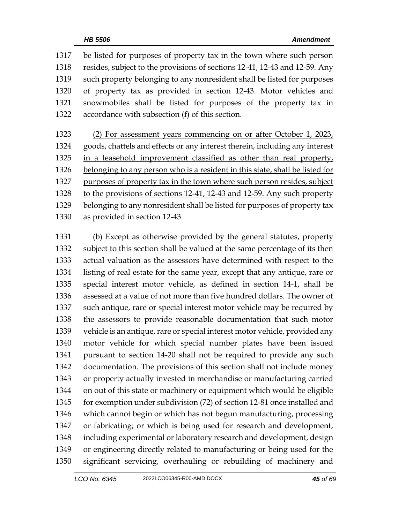be listed for purposes of property tax in the town where such person resides, subject to the provisions of sections 12-41, 12-43 and 12-59. Any such property belonging to any nonresident shall be listed for purposes of property tax as provided in section 12-43. Motor vehicles and snowmobiles shall be listed for purposes of the property tax in accordance with subsection (f) of this section.

 (2) For assessment years commencing on or after October 1, 2023, goods, chattels and effects or any interest therein, including any interest in a leasehold improvement classified as other than real property, belonging to any person who is a resident in this state, shall be listed for purposes of property tax in the town where such person resides, subject to the provisions of sections 12-41, 12-43 and 12-59. Any such property 1329 belonging to any nonresident shall be listed for purposes of property tax as provided in section 12-43.

 (b) Except as otherwise provided by the general statutes, property subject to this section shall be valued at the same percentage of its then actual valuation as the assessors have determined with respect to the listing of real estate for the same year, except that any antique, rare or special interest motor vehicle, as defined in section 14-1, shall be assessed at a value of not more than five hundred dollars. The owner of such antique, rare or special interest motor vehicle may be required by the assessors to provide reasonable documentation that such motor vehicle is an antique, rare or special interest motor vehicle, provided any motor vehicle for which special number plates have been issued pursuant to section 14-20 shall not be required to provide any such documentation. The provisions of this section shall not include money or property actually invested in merchandise or manufacturing carried on out of this state or machinery or equipment which would be eligible for exemption under subdivision (72) of section 12-81 once installed and which cannot begin or which has not begun manufacturing, processing or fabricating; or which is being used for research and development, including experimental or laboratory research and development, design or engineering directly related to manufacturing or being used for the significant servicing, overhauling or rebuilding of machinery and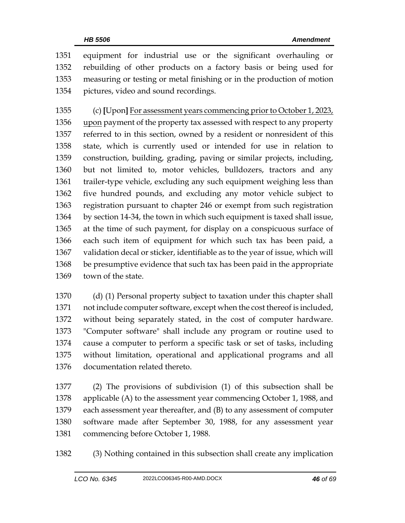equipment for industrial use or the significant overhauling or rebuilding of other products on a factory basis or being used for measuring or testing or metal finishing or in the production of motion pictures, video and sound recordings.

 (c) **[**Upon**]** For assessment years commencing prior to October 1, 2023, 1356 upon payment of the property tax assessed with respect to any property referred to in this section, owned by a resident or nonresident of this state, which is currently used or intended for use in relation to construction, building, grading, paving or similar projects, including, but not limited to, motor vehicles, bulldozers, tractors and any trailer-type vehicle, excluding any such equipment weighing less than five hundred pounds, and excluding any motor vehicle subject to registration pursuant to chapter 246 or exempt from such registration by section 14-34, the town in which such equipment is taxed shall issue, at the time of such payment, for display on a conspicuous surface of each such item of equipment for which such tax has been paid, a validation decal or sticker, identifiable as to the year of issue, which will be presumptive evidence that such tax has been paid in the appropriate town of the state.

 (d) (1) Personal property subject to taxation under this chapter shall not include computer software, except when the cost thereof is included, without being separately stated, in the cost of computer hardware. "Computer software" shall include any program or routine used to cause a computer to perform a specific task or set of tasks, including without limitation, operational and applicational programs and all documentation related thereto.

 (2) The provisions of subdivision (1) of this subsection shall be applicable (A) to the assessment year commencing October 1, 1988, and each assessment year thereafter, and (B) to any assessment of computer software made after September 30, 1988, for any assessment year commencing before October 1, 1988.

(3) Nothing contained in this subsection shall create any implication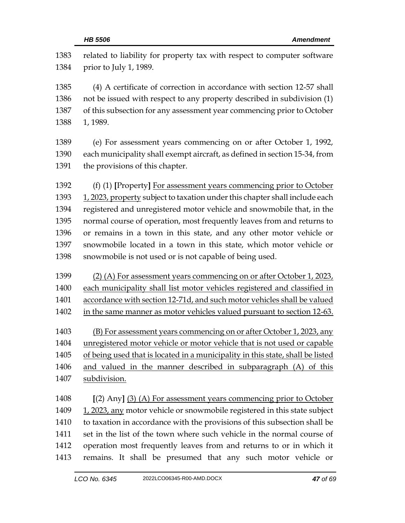| 1383<br>1384 | related to liability for property tax with respect to computer software<br>prior to July 1, 1989. |
|--------------|---------------------------------------------------------------------------------------------------|
| 1385         | (4) A certificate of correction in accordance with section 12-57 shall                            |
| 1386         | not be issued with respect to any property described in subdivision (1)                           |
| 1387         | of this subsection for any assessment year commencing prior to October                            |
| 1388         | 1, 1989.                                                                                          |
|              |                                                                                                   |
| 1389         | (e) For assessment years commencing on or after October 1, 1992,                                  |
| 1390         | each municipality shall exempt aircraft, as defined in section 15-34, from                        |
| 1391         | the provisions of this chapter.                                                                   |
| 1392         | (f) (1) [Property] For assessment years commencing prior to October                               |
| 1393         | 1, 2023, property subject to taxation under this chapter shall include each                       |
| 1394         | registered and unregistered motor vehicle and snowmobile that, in the                             |
| 1395         | normal course of operation, most frequently leaves from and returns to                            |
| 1396         | or remains in a town in this state, and any other motor vehicle or                                |
| 1397         | snowmobile located in a town in this state, which motor vehicle or                                |
| 1398         | snowmobile is not used or is not capable of being used.                                           |
| 1399         | (2) (A) For assessment years commencing on or after October 1, 2023,                              |
| 1400         | each municipality shall list motor vehicles registered and classified in                          |
| 1401         | accordance with section 12-71d, and such motor vehicles shall be valued                           |
| 1402         | in the same manner as motor vehicles valued pursuant to section 12-63.                            |
| 1403         | (B) For assessment years commencing on or after October 1, 2023, any                              |
| 1404         | unregistered motor vehicle or motor vehicle that is not used or capable                           |
| 1405         | of being used that is located in a municipality in this state, shall be listed                    |
| 1406         | and valued in the manner described in subparagraph (A) of this                                    |
| 1407         | subdivision.                                                                                      |
| 1408         | $[(2)$ Any] $(3)$ (A) For assessment years commencing prior to October                            |
| 1409         | 1, 2023, any motor vehicle or snowmobile registered in this state subject                         |
| 1410         | to taxation in accordance with the provisions of this subsection shall be                         |
| 1411         | set in the list of the town where such vehicle in the normal course of                            |
| 1412         | operation most frequently leaves from and returns to or in which it                               |
| 1413         | remains. It shall be presumed that any such motor vehicle or                                      |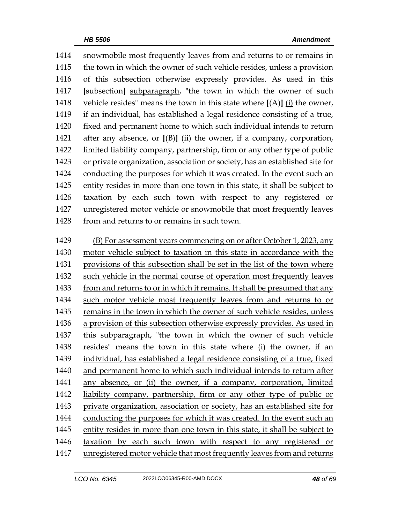snowmobile most frequently leaves from and returns to or remains in the town in which the owner of such vehicle resides, unless a provision of this subsection otherwise expressly provides. As used in this **[**subsection**]** subparagraph, "the town in which the owner of such 1418 vehicle resides" means the town in this state where  $[(A)]$   $(i)$  the owner, if an individual, has established a legal residence consisting of a true, fixed and permanent home to which such individual intends to return after any absence, or **[**(B)**]** (ii) the owner, if a company, corporation, limited liability company, partnership, firm or any other type of public or private organization, association or society, has an established site for conducting the purposes for which it was created. In the event such an entity resides in more than one town in this state, it shall be subject to taxation by each such town with respect to any registered or unregistered motor vehicle or snowmobile that most frequently leaves from and returns to or remains in such town.

 (B) For assessment years commencing on or after October 1, 2023, any motor vehicle subject to taxation in this state in accordance with the provisions of this subsection shall be set in the list of the town where such vehicle in the normal course of operation most frequently leaves 1433 from and returns to or in which it remains. It shall be presumed that any such motor vehicle most frequently leaves from and returns to or remains in the town in which the owner of such vehicle resides, unless a provision of this subsection otherwise expressly provides. As used in this subparagraph, "the town in which the owner of such vehicle resides" means the town in this state where (i) the owner, if an individual, has established a legal residence consisting of a true, fixed and permanent home to which such individual intends to return after 1441 any absence, or (ii) the owner, if a company, corporation, limited liability company, partnership, firm or any other type of public or private organization, association or society, has an established site for conducting the purposes for which it was created. In the event such an entity resides in more than one town in this state, it shall be subject to taxation by each such town with respect to any registered or unregistered motor vehicle that most frequently leaves from and returns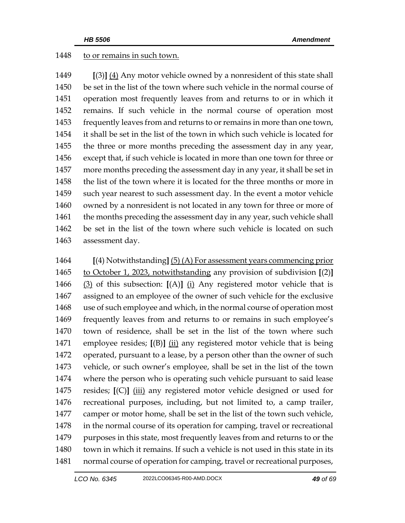## 1448 to or remains in such town.

 **[**(3)**]** (4) Any motor vehicle owned by a nonresident of this state shall be set in the list of the town where such vehicle in the normal course of operation most frequently leaves from and returns to or in which it remains. If such vehicle in the normal course of operation most frequently leaves from and returns to or remains in more than one town, it shall be set in the list of the town in which such vehicle is located for the three or more months preceding the assessment day in any year, except that, if such vehicle is located in more than one town for three or more months preceding the assessment day in any year, it shall be set in the list of the town where it is located for the three months or more in such year nearest to such assessment day. In the event a motor vehicle owned by a nonresident is not located in any town for three or more of 1461 the months preceding the assessment day in any year, such vehicle shall be set in the list of the town where such vehicle is located on such assessment day.

 **[**(4) Notwithstanding**]** (5) (A) For assessment years commencing prior to October 1, 2023, notwithstanding any provision of subdivision **[**(2)**]** (3) of this subsection: **[**(A)**]** (i) Any registered motor vehicle that is assigned to an employee of the owner of such vehicle for the exclusive use of such employee and which, in the normal course of operation most frequently leaves from and returns to or remains in such employee's town of residence, shall be set in the list of the town where such employee resides; **[**(B)**]** (ii) any registered motor vehicle that is being operated, pursuant to a lease, by a person other than the owner of such vehicle, or such owner's employee, shall be set in the list of the town where the person who is operating such vehicle pursuant to said lease resides; **[**(C)**]** (iii) any registered motor vehicle designed or used for recreational purposes, including, but not limited to, a camp trailer, camper or motor home, shall be set in the list of the town such vehicle, in the normal course of its operation for camping, travel or recreational purposes in this state, most frequently leaves from and returns to or the town in which it remains. If such a vehicle is not used in this state in its normal course of operation for camping, travel or recreational purposes,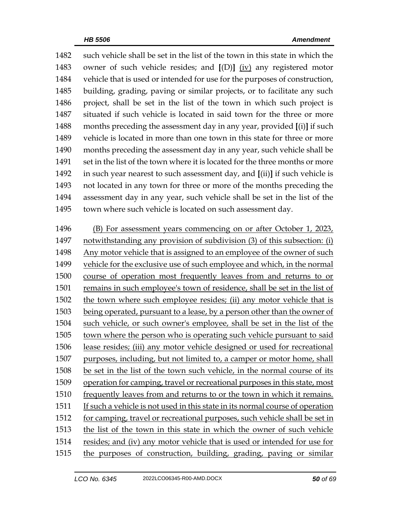such vehicle shall be set in the list of the town in this state in which the owner of such vehicle resides; and **[**(D)**]** (iv) any registered motor vehicle that is used or intended for use for the purposes of construction, building, grading, paving or similar projects, or to facilitate any such project, shall be set in the list of the town in which such project is situated if such vehicle is located in said town for the three or more months preceding the assessment day in any year, provided **[**(i)**]** if such vehicle is located in more than one town in this state for three or more months preceding the assessment day in any year, such vehicle shall be 1491 set in the list of the town where it is located for the three months or more in such year nearest to such assessment day, and **[**(ii)**]** if such vehicle is not located in any town for three or more of the months preceding the assessment day in any year, such vehicle shall be set in the list of the town where such vehicle is located on such assessment day.

 (B) For assessment years commencing on or after October 1, 2023, notwithstanding any provision of subdivision (3) of this subsection: (i) Any motor vehicle that is assigned to an employee of the owner of such vehicle for the exclusive use of such employee and which, in the normal course of operation most frequently leaves from and returns to or remains in such employee's town of residence, shall be set in the list of the town where such employee resides; (ii) any motor vehicle that is being operated, pursuant to a lease, by a person other than the owner of such vehicle, or such owner's employee, shall be set in the list of the town where the person who is operating such vehicle pursuant to said lease resides; (iii) any motor vehicle designed or used for recreational purposes, including, but not limited to, a camper or motor home, shall be set in the list of the town such vehicle, in the normal course of its operation for camping, travel or recreational purposes in this state, most frequently leaves from and returns to or the town in which it remains. If such a vehicle is not used in this state in its normal course of operation for camping, travel or recreational purposes, such vehicle shall be set in the list of the town in this state in which the owner of such vehicle resides; and (iv) any motor vehicle that is used or intended for use for the purposes of construction, building, grading, paving or similar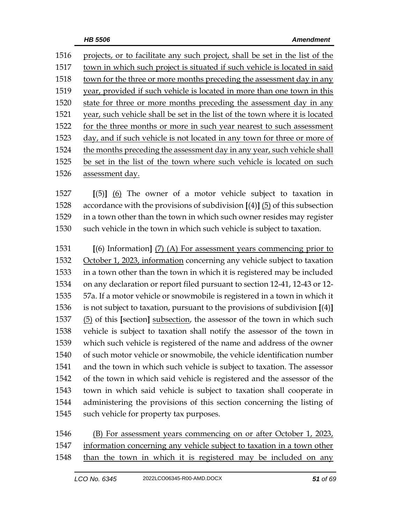| 1516 | projects, or to facilitate any such project, shall be set in the list of the |
|------|------------------------------------------------------------------------------|
| 1517 | town in which such project is situated if such vehicle is located in said    |
| 1518 | town for the three or more months preceding the assessment day in any        |
| 1519 | year, provided if such vehicle is located in more than one town in this      |
| 1520 | state for three or more months preceding the assessment day in any           |
| 1521 | year, such vehicle shall be set in the list of the town where it is located  |
| 1522 | for the three months or more in such year nearest to such assessment         |
| 1523 | day, and if such vehicle is not located in any town for three or more of     |
| 1524 | the months preceding the assessment day in any year, such vehicle shall      |
| 1525 | be set in the list of the town where such vehicle is located on such         |
| 1526 | assessment day.                                                              |

 **[**(5)**]** (6) The owner of a motor vehicle subject to taxation in accordance with the provisions of subdivision **[**(4)**]** (5) of this subsection in a town other than the town in which such owner resides may register such vehicle in the town in which such vehicle is subject to taxation.

 **[**(6) Information**]** (7) (A) For assessment years commencing prior to 1532 October 1, 2023, information concerning any vehicle subject to taxation in a town other than the town in which it is registered may be included on any declaration or report filed pursuant to section 12-41, 12-43 or 12- 57a. If a motor vehicle or snowmobile is registered in a town in which it is not subject to taxation, pursuant to the provisions of subdivision **[**(4)**]** (5) of this **[**section**]** subsection, the assessor of the town in which such vehicle is subject to taxation shall notify the assessor of the town in which such vehicle is registered of the name and address of the owner of such motor vehicle or snowmobile, the vehicle identification number and the town in which such vehicle is subject to taxation. The assessor of the town in which said vehicle is registered and the assessor of the town in which said vehicle is subject to taxation shall cooperate in administering the provisions of this section concerning the listing of such vehicle for property tax purposes.

1546 (B) For assessment years commencing on or after October 1, 2023, information concerning any vehicle subject to taxation in a town other than the town in which it is registered may be included on any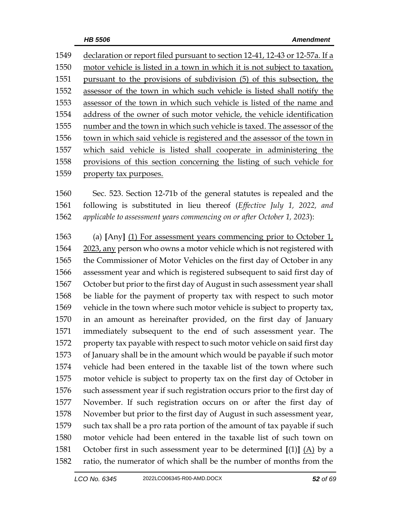declaration or report filed pursuant to section 12-41, 12-43 or 12-57a. If a motor vehicle is listed in a town in which it is not subject to taxation, pursuant to the provisions of subdivision (5) of this subsection, the assessor of the town in which such vehicle is listed shall notify the assessor of the town in which such vehicle is listed of the name and address of the owner of such motor vehicle, the vehicle identification number and the town in which such vehicle is taxed. The assessor of the town in which said vehicle is registered and the assessor of the town in which said vehicle is listed shall cooperate in administering the provisions of this section concerning the listing of such vehicle for property tax purposes.

 Sec. 523. Section 12-71b of the general statutes is repealed and the following is substituted in lieu thereof (*Effective July 1, 2022, and applicable to assessment years commencing on or after October 1, 2023*):

 (a) **[**Any**]** (1) For assessment years commencing prior to October 1, 2023, any person who owns a motor vehicle which is not registered with the Commissioner of Motor Vehicles on the first day of October in any assessment year and which is registered subsequent to said first day of October but prior to the first day of August in such assessment year shall be liable for the payment of property tax with respect to such motor vehicle in the town where such motor vehicle is subject to property tax, in an amount as hereinafter provided, on the first day of January immediately subsequent to the end of such assessment year. The property tax payable with respect to such motor vehicle on said first day of January shall be in the amount which would be payable if such motor vehicle had been entered in the taxable list of the town where such motor vehicle is subject to property tax on the first day of October in such assessment year if such registration occurs prior to the first day of November. If such registration occurs on or after the first day of November but prior to the first day of August in such assessment year, such tax shall be a pro rata portion of the amount of tax payable if such motor vehicle had been entered in the taxable list of such town on October first in such assessment year to be determined **[**(1)**]** (A) by a ratio, the numerator of which shall be the number of months from the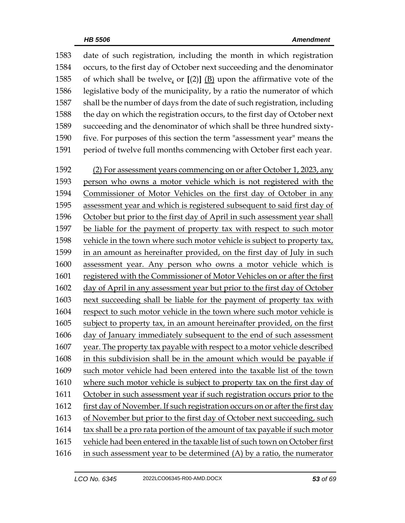| 1583 | date of such registration, including the month in which registration         |
|------|------------------------------------------------------------------------------|
| 1584 | occurs, to the first day of October next succeeding and the denominator      |
| 1585 | of which shall be twelve, or $[(2)]$ $(B)$ upon the affirmative vote of the  |
| 1586 | legislative body of the municipality, by a ratio the numerator of which      |
| 1587 | shall be the number of days from the date of such registration, including    |
| 1588 | the day on which the registration occurs, to the first day of October next   |
| 1589 | succeeding and the denominator of which shall be three hundred sixty-        |
| 1590 | five. For purposes of this section the term "assessment year" means the      |
| 1591 | period of twelve full months commencing with October first each year.        |
| 1592 | (2) For assessment years commencing on or after October 1, 2023, any         |
| 1593 | person who owns a motor vehicle which is not registered with the             |
| 1594 | Commissioner of Motor Vehicles on the first day of October in any            |
| 1595 | assessment year and which is registered subsequent to said first day of      |
| 1596 | October but prior to the first day of April in such assessment year shall    |
| 1597 | be liable for the payment of property tax with respect to such motor         |
| 1598 | vehicle in the town where such motor vehicle is subject to property tax,     |
| 1599 | in an amount as hereinafter provided, on the first day of July in such       |
| 1600 | assessment year. Any person who owns a motor vehicle which is                |
| 1601 | registered with the Commissioner of Motor Vehicles on or after the first     |
| 1602 | day of April in any assessment year but prior to the first day of October    |
| 1603 | next succeeding shall be liable for the payment of property tax with         |
| 1604 | respect to such motor vehicle in the town where such motor vehicle is        |
| 1605 | subject to property tax, in an amount hereinafter provided, on the first     |
| 1606 | day of January immediately subsequent to the end of such assessment          |
| 1607 | year. The property tax payable with respect to a motor vehicle described     |
| 1608 | in this subdivision shall be in the amount which would be payable if         |
| 1609 | such motor vehicle had been entered into the taxable list of the town        |
| 1610 | where such motor vehicle is subject to property tax on the first day of      |
| 1611 | October in such assessment year if such registration occurs prior to the     |
| 1612 | first day of November. If such registration occurs on or after the first day |
| 1613 | of November but prior to the first day of October next succeeding, such      |
| 1614 | tax shall be a pro rata portion of the amount of tax payable if such motor   |
| 1615 | vehicle had been entered in the taxable list of such town on October first   |
| 1616 | in such assessment year to be determined (A) by a ratio, the numerator       |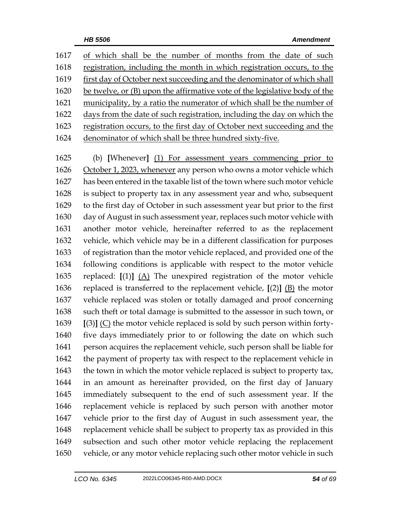| 1617 | of which shall be the number of months from the date of such               |
|------|----------------------------------------------------------------------------|
| 1618 | registration, including the month in which registration occurs, to the     |
| 1619 | first day of October next succeeding and the denominator of which shall    |
| 1620 | be twelve, or (B) upon the affirmative vote of the legislative body of the |
| 1621 | municipality, by a ratio the numerator of which shall be the number of     |
| 1622 | days from the date of such registration, including the day on which the    |
| 1623 | registration occurs, to the first day of October next succeeding and the   |
| 1624 | denominator of which shall be three hundred sixty-five.                    |
|      |                                                                            |
| 1625 | (b) [Whenever] (1) For assessment years commencing prior to                |
| 1626 | October 1, 2023, whenever any person who owns a motor vehicle which        |
| 1627 | has been entered in the taxable list of the town where such motor vehicle  |
| 1628 |                                                                            |
|      | is subject to property tax in any assessment year and who, subsequent      |
| 1629 | to the first day of October in such assessment year but prior to the first |

 day of August in such assessment year, replaces such motor vehicle with another motor vehicle, hereinafter referred to as the replacement vehicle, which vehicle may be in a different classification for purposes of registration than the motor vehicle replaced, and provided one of the following conditions is applicable with respect to the motor vehicle replaced: **[**(1)**]** (A) The unexpired registration of the motor vehicle replaced is transferred to the replacement vehicle, **[**(2)**]** (B) the motor vehicle replaced was stolen or totally damaged and proof concerning 1638 such theft or total damage is submitted to the assessor in such town, or **[**(3)**]** (C) the motor vehicle replaced is sold by such person within forty- five days immediately prior to or following the date on which such person acquires the replacement vehicle, such person shall be liable for 1642 the payment of property tax with respect to the replacement vehicle in 1643 the town in which the motor vehicle replaced is subject to property tax, in an amount as hereinafter provided, on the first day of January immediately subsequent to the end of such assessment year. If the replacement vehicle is replaced by such person with another motor vehicle prior to the first day of August in such assessment year, the replacement vehicle shall be subject to property tax as provided in this subsection and such other motor vehicle replacing the replacement vehicle, or any motor vehicle replacing such other motor vehicle in such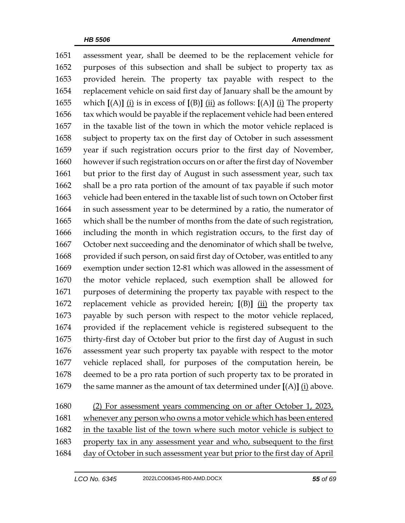assessment year, shall be deemed to be the replacement vehicle for purposes of this subsection and shall be subject to property tax as provided herein. The property tax payable with respect to the replacement vehicle on said first day of January shall be the amount by which **[**(A)**]** (i) is in excess of **[**(B)**]** (ii) as follows: **[**(A)**]** (i) The property tax which would be payable if the replacement vehicle had been entered in the taxable list of the town in which the motor vehicle replaced is subject to property tax on the first day of October in such assessment year if such registration occurs prior to the first day of November, however if such registration occurs on or after the first day of November but prior to the first day of August in such assessment year, such tax shall be a pro rata portion of the amount of tax payable if such motor vehicle had been entered in the taxable list of such town on October first in such assessment year to be determined by a ratio, the numerator of which shall be the number of months from the date of such registration, including the month in which registration occurs, to the first day of October next succeeding and the denominator of which shall be twelve, 1668 provided if such person, on said first day of October, was entitled to any exemption under section 12-81 which was allowed in the assessment of the motor vehicle replaced, such exemption shall be allowed for purposes of determining the property tax payable with respect to the replacement vehicle as provided herein; **[**(B)**]** (ii) the property tax payable by such person with respect to the motor vehicle replaced, provided if the replacement vehicle is registered subsequent to the thirty-first day of October but prior to the first day of August in such assessment year such property tax payable with respect to the motor vehicle replaced shall, for purposes of the computation herein, be deemed to be a pro rata portion of such property tax to be prorated in the same manner as the amount of tax determined under **[**(A)**]** (i) above.

 (2) For assessment years commencing on or after October 1, 2023, whenever any person who owns a motor vehicle which has been entered in the taxable list of the town where such motor vehicle is subject to property tax in any assessment year and who, subsequent to the first 1684 day of October in such assessment year but prior to the first day of April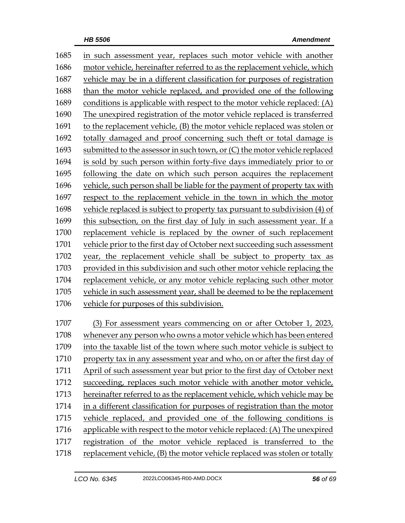| 1685 | in such assessment year, replaces such motor vehicle with another          |
|------|----------------------------------------------------------------------------|
| 1686 | motor vehicle, hereinafter referred to as the replacement vehicle, which   |
| 1687 | vehicle may be in a different classification for purposes of registration  |
| 1688 | than the motor vehicle replaced, and provided one of the following         |
| 1689 | conditions is applicable with respect to the motor vehicle replaced: (A)   |
| 1690 | The unexpired registration of the motor vehicle replaced is transferred    |
| 1691 | to the replacement vehicle, (B) the motor vehicle replaced was stolen or   |
| 1692 | totally damaged and proof concerning such theft or total damage is         |
| 1693 | submitted to the assessor in such town, or (C) the motor vehicle replaced  |
| 1694 | is sold by such person within forty-five days immediately prior to or      |
| 1695 | following the date on which such person acquires the replacement           |
| 1696 | vehicle, such person shall be liable for the payment of property tax with  |
| 1697 | respect to the replacement vehicle in the town in which the motor          |
| 1698 | vehicle replaced is subject to property tax pursuant to subdivision (4) of |
| 1699 | this subsection, on the first day of July in such assessment year. If a    |
| 1700 | replacement vehicle is replaced by the owner of such replacement           |
| 1701 | vehicle prior to the first day of October next succeeding such assessment  |
| 1702 | year, the replacement vehicle shall be subject to property tax as          |
| 1703 | provided in this subdivision and such other motor vehicle replacing the    |
| 1704 | replacement vehicle, or any motor vehicle replacing such other motor       |
| 1705 | vehicle in such assessment year, shall be deemed to be the replacement     |
| 1706 | vehicle for purposes of this subdivision.                                  |
| 1707 | For assessment years commencing on or after October 1, 2023,<br>(3)        |
| 1708 | whenever any person who owns a motor vehicle which has been entered        |
| 1709 | into the taxable list of the town where such motor vehicle is subject to   |
| 1710 | property tax in any assessment year and who, on or after the first day of  |
| 1711 | April of such assessment year but prior to the first day of October next   |
| 1712 | succeeding, replaces such motor vehicle with another motor vehicle,        |
| 1713 | hereinafter referred to as the replacement vehicle, which vehicle may be   |
| 1714 | in a different classification for purposes of registration than the motor  |
| 1715 | vehicle replaced, and provided one of the following conditions is          |
| 1716 | applicable with respect to the motor vehicle replaced: (A) The unexpired   |
| 1717 | registration of the motor vehicle replaced is transferred to the           |
| 1718 | replacement vehicle, (B) the motor vehicle replaced was stolen or totally  |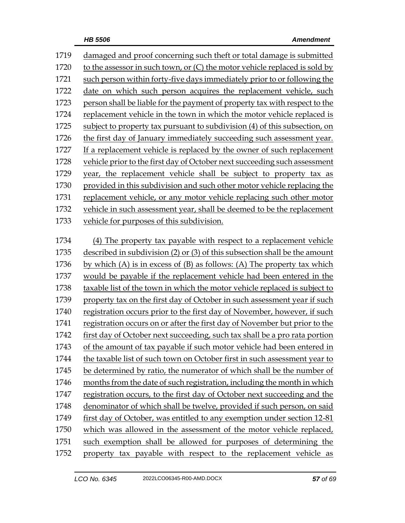| 1719 | damaged and proof concerning such theft or total damage is submitted           |
|------|--------------------------------------------------------------------------------|
| 1720 | to the assessor in such town, or (C) the motor vehicle replaced is sold by     |
| 1721 | such person within forty-five days immediately prior to or following the       |
| 1722 | date on which such person acquires the replacement vehicle, such               |
| 1723 | person shall be liable for the payment of property tax with respect to the     |
| 1724 | replacement vehicle in the town in which the motor vehicle replaced is         |
| 1725 | subject to property tax pursuant to subdivision (4) of this subsection, on     |
| 1726 | the first day of January immediately succeeding such assessment year.          |
| 1727 | If a replacement vehicle is replaced by the owner of such replacement          |
| 1728 | vehicle prior to the first day of October next succeeding such assessment      |
| 1729 | year, the replacement vehicle shall be subject to property tax as              |
| 1730 | provided in this subdivision and such other motor vehicle replacing the        |
| 1731 | replacement vehicle, or any motor vehicle replacing such other motor           |
| 1732 | vehicle in such assessment year, shall be deemed to be the replacement         |
| 1733 | vehicle for purposes of this subdivision.                                      |
|      |                                                                                |
| 1734 | (4) The property tax payable with respect to a replacement vehicle             |
| 1735 | described in subdivision (2) or (3) of this subsection shall be the amount     |
| 1736 | by which (A) is in excess of (B) as follows: (A) The property tax which        |
| 1737 | would be payable if the replacement vehicle had been entered in the            |
| 1738 | taxable list of the town in which the motor vehicle replaced is subject to     |
| 1739 | property tax on the first day of October in such assessment year if such       |
| 1740 | registration occurs prior to the first day of November, however, if such       |
| 1741 | registration occurs on or after the first day of November but prior to the     |
| 1742 | first day of October next succeeding, such tax shall be a pro rata portion     |
| 1743 | of the amount of tax payable if such motor vehicle had been entered in         |
| 1744 | the taxable list of such town on October first in such assessment year to      |
| 1745 | be determined by ratio, the numerator of which shall be the number of          |
| 1746 | months from the date of such registration, including the month in which        |
| 1747 | registration occurs, to the first day of October next succeeding and the       |
| 1748 | denominator of which shall be twelve, provided if such person, on said         |
| 1749 | <u>first day of October, was entitled to any exemption under section 12-81</u> |
| 1750 | which was allowed in the assessment of the motor vehicle replaced,             |
| 1751 | such exemption shall be allowed for purposes of determining the                |
| 1752 | property tax payable with respect to the replacement vehicle as                |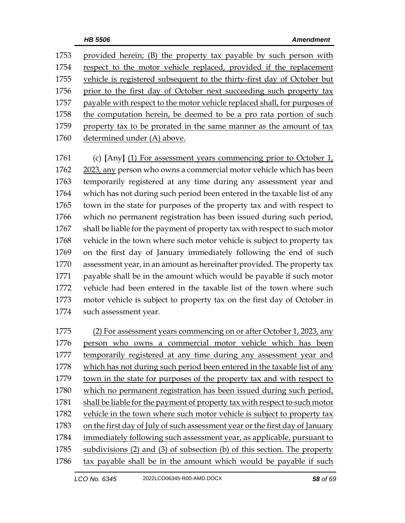| 1753 | provided herein; (B) the property tax payable by such person with         |
|------|---------------------------------------------------------------------------|
| 1754 | respect to the motor vehicle replaced, provided if the replacement        |
| 1755 | vehicle is registered subsequent to the thirty-first day of October but   |
| 1756 | prior to the first day of October next succeeding such property tax       |
| 1757 | payable with respect to the motor vehicle replaced shall, for purposes of |
| 1758 | the computation herein, be deemed to be a pro rata portion of such        |
| 1759 | property tax to be prorated in the same manner as the amount of tax       |
| 1760 | determined under (A) above.                                               |

 (c) **[**Any**]** (1) For assessment years commencing prior to October 1, 2023, any person who owns a commercial motor vehicle which has been temporarily registered at any time during any assessment year and which has not during such period been entered in the taxable list of any town in the state for purposes of the property tax and with respect to which no permanent registration has been issued during such period, shall be liable for the payment of property tax with respect to such motor vehicle in the town where such motor vehicle is subject to property tax on the first day of January immediately following the end of such assessment year, in an amount as hereinafter provided. The property tax payable shall be in the amount which would be payable if such motor vehicle had been entered in the taxable list of the town where such motor vehicle is subject to property tax on the first day of October in such assessment year.

 (2) For assessment years commencing on or after October 1, 2023, any person who owns a commercial motor vehicle which has been temporarily registered at any time during any assessment year and which has not during such period been entered in the taxable list of any town in the state for purposes of the property tax and with respect to which no permanent registration has been issued during such period, 1781 shall be liable for the payment of property tax with respect to such motor vehicle in the town where such motor vehicle is subject to property tax on the first day of July of such assessment year or the first day of January immediately following such assessment year, as applicable, pursuant to subdivisions (2) and (3) of subsection (b) of this section. The property tax payable shall be in the amount which would be payable if such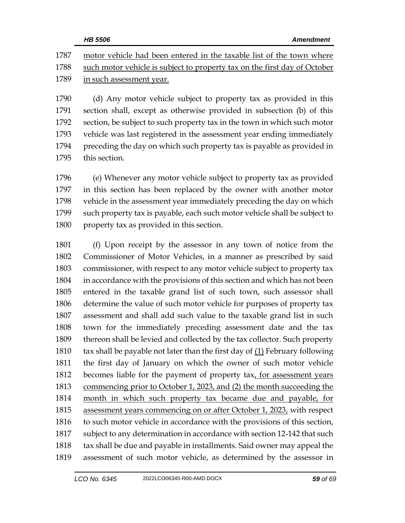|      | <b>HB 5506</b><br><b>Amendment</b>                                        |
|------|---------------------------------------------------------------------------|
| 1787 | motor vehicle had been entered in the taxable list of the town where      |
| 1788 | such motor vehicle is subject to property tax on the first day of October |
| 1789 | in such assessment year.                                                  |
| 1790 | (d) Any motor vehicle subject to property tax as provided in this         |

 (d) Any motor vehicle subject to property tax as provided in this section shall, except as otherwise provided in subsection (b) of this section, be subject to such property tax in the town in which such motor vehicle was last registered in the assessment year ending immediately preceding the day on which such property tax is payable as provided in this section.

 (e) Whenever any motor vehicle subject to property tax as provided in this section has been replaced by the owner with another motor vehicle in the assessment year immediately preceding the day on which such property tax is payable, each such motor vehicle shall be subject to property tax as provided in this section.

 (f) Upon receipt by the assessor in any town of notice from the Commissioner of Motor Vehicles, in a manner as prescribed by said commissioner, with respect to any motor vehicle subject to property tax in accordance with the provisions of this section and which has not been entered in the taxable grand list of such town, such assessor shall determine the value of such motor vehicle for purposes of property tax assessment and shall add such value to the taxable grand list in such town for the immediately preceding assessment date and the tax thereon shall be levied and collected by the tax collector. Such property  $\;\;$  tax shall be payable not later than the first day of  $(1)$  February following the first day of January on which the owner of such motor vehicle becomes liable for the payment of property tax, for assessment years commencing prior to October 1, 2023, and (2) the month succeeding the month in which such property tax became due and payable, for assessment years commencing on or after October 1, 2023, with respect to such motor vehicle in accordance with the provisions of this section, subject to any determination in accordance with section 12-142 that such 1818 tax shall be due and payable in installments. Said owner may appeal the assessment of such motor vehicle, as determined by the assessor in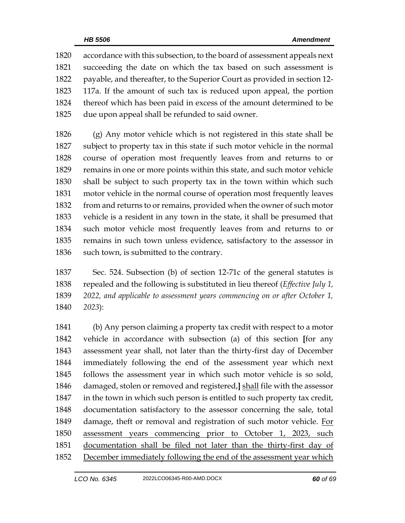accordance with this subsection, to the board of assessment appeals next succeeding the date on which the tax based on such assessment is payable, and thereafter, to the Superior Court as provided in section 12- 117a. If the amount of such tax is reduced upon appeal, the portion thereof which has been paid in excess of the amount determined to be due upon appeal shall be refunded to said owner.

 (g) Any motor vehicle which is not registered in this state shall be subject to property tax in this state if such motor vehicle in the normal course of operation most frequently leaves from and returns to or remains in one or more points within this state, and such motor vehicle shall be subject to such property tax in the town within which such motor vehicle in the normal course of operation most frequently leaves from and returns to or remains, provided when the owner of such motor vehicle is a resident in any town in the state, it shall be presumed that such motor vehicle most frequently leaves from and returns to or remains in such town unless evidence, satisfactory to the assessor in 1836 such town, is submitted to the contrary.

 Sec. 524. Subsection (b) of section 12-71c of the general statutes is repealed and the following is substituted in lieu thereof (*Effective July 1, 2022, and applicable to assessment years commencing on or after October 1, 2023*):

 (b) Any person claiming a property tax credit with respect to a motor vehicle in accordance with subsection (a) of this section **[**for any assessment year shall, not later than the thirty-first day of December immediately following the end of the assessment year which next follows the assessment year in which such motor vehicle is so sold, damaged, stolen or removed and registered,**]** shall file with the assessor in the town in which such person is entitled to such property tax credit, documentation satisfactory to the assessor concerning the sale, total 1849 damage, theft or removal and registration of such motor vehicle. For assessment years commencing prior to October 1, 2023, such documentation shall be filed not later than the thirty-first day of 1852 December immediately following the end of the assessment year which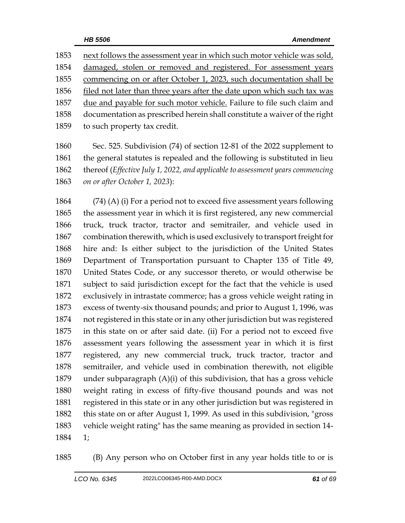1853 next follows the assessment year in which such motor vehicle was sold, damaged, stolen or removed and registered. For assessment years commencing on or after October 1, 2023, such documentation shall be filed not later than three years after the date upon which such tax was due and payable for such motor vehicle. Failure to file such claim and documentation as prescribed herein shall constitute a waiver of the right to such property tax credit.

 Sec. 525. Subdivision (74) of section 12-81 of the 2022 supplement to the general statutes is repealed and the following is substituted in lieu thereof (*Effective July 1, 2022, and applicable to assessment years commencing on or after October 1, 2023*):

 (74) (A) (i) For a period not to exceed five assessment years following the assessment year in which it is first registered, any new commercial truck, truck tractor, tractor and semitrailer, and vehicle used in combination therewith, which is used exclusively to transport freight for hire and: Is either subject to the jurisdiction of the United States Department of Transportation pursuant to Chapter 135 of Title 49, United States Code, or any successor thereto, or would otherwise be subject to said jurisdiction except for the fact that the vehicle is used exclusively in intrastate commerce; has a gross vehicle weight rating in excess of twenty-six thousand pounds; and prior to August 1, 1996, was not registered in this state or in any other jurisdiction but was registered in this state on or after said date. (ii) For a period not to exceed five assessment years following the assessment year in which it is first registered, any new commercial truck, truck tractor, tractor and semitrailer, and vehicle used in combination therewith, not eligible under subparagraph (A)(i) of this subdivision, that has a gross vehicle weight rating in excess of fifty-five thousand pounds and was not registered in this state or in any other jurisdiction but was registered in this state on or after August 1, 1999. As used in this subdivision, "gross vehicle weight rating" has the same meaning as provided in section 14- 1;

(B) Any person who on October first in any year holds title to or is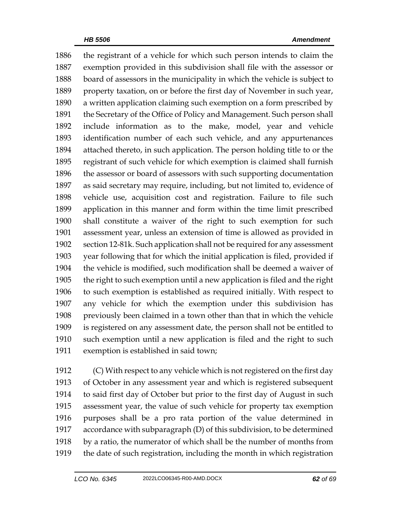the registrant of a vehicle for which such person intends to claim the exemption provided in this subdivision shall file with the assessor or board of assessors in the municipality in which the vehicle is subject to property taxation, on or before the first day of November in such year, a written application claiming such exemption on a form prescribed by 1891 the Secretary of the Office of Policy and Management. Such person shall include information as to the make, model, year and vehicle identification number of each such vehicle, and any appurtenances attached thereto, in such application. The person holding title to or the registrant of such vehicle for which exemption is claimed shall furnish the assessor or board of assessors with such supporting documentation as said secretary may require, including, but not limited to, evidence of vehicle use, acquisition cost and registration. Failure to file such application in this manner and form within the time limit prescribed shall constitute a waiver of the right to such exemption for such assessment year, unless an extension of time is allowed as provided in section 12-81k. Such application shall not be required for any assessment year following that for which the initial application is filed, provided if the vehicle is modified, such modification shall be deemed a waiver of the right to such exemption until a new application is filed and the right to such exemption is established as required initially. With respect to any vehicle for which the exemption under this subdivision has previously been claimed in a town other than that in which the vehicle is registered on any assessment date, the person shall not be entitled to such exemption until a new application is filed and the right to such exemption is established in said town;

 (C) With respect to any vehicle which is not registered on the first day of October in any assessment year and which is registered subsequent to said first day of October but prior to the first day of August in such assessment year, the value of such vehicle for property tax exemption purposes shall be a pro rata portion of the value determined in accordance with subparagraph (D) of this subdivision, to be determined by a ratio, the numerator of which shall be the number of months from the date of such registration, including the month in which registration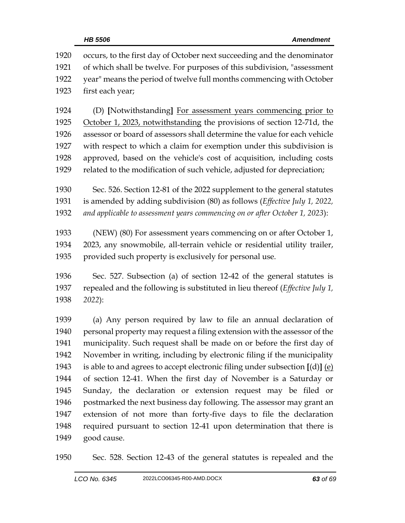|      | <b>Amendment</b><br>HB 5506                                                           |
|------|---------------------------------------------------------------------------------------|
| 1920 | occurs, to the first day of October next succeeding and the denominator               |
| 1921 | of which shall be twelve. For purposes of this subdivision, "assessment               |
| 1922 | year" means the period of twelve full months commencing with October                  |
| 1923 | first each year;                                                                      |
| 1924 | (D) [Notwithstanding] For assessment years commencing prior to                        |
| 1925 | October 1, 2023, notwithstanding the provisions of section 12-71d, the                |
| 1926 | assessor or board of assessors shall determine the value for each vehicle             |
| 1927 | with respect to which a claim for exemption under this subdivision is                 |
| 1928 | approved, based on the vehicle's cost of acquisition, including costs                 |
| 1929 | related to the modification of such vehicle, adjusted for depreciation;               |
| 1930 | Sec. 526. Section 12-81 of the 2022 supplement to the general statutes                |
| 1931 | is amended by adding subdivision (80) as follows (Effective July 1, 2022,             |
| 1932 | and applicable to assessment years commencing on or after October 1, 2023):           |
| 1933 | (NEW) (80) For assessment years commencing on or after October 1,                     |
| 1934 | 2023, any snowmobile, all-terrain vehicle or residential utility trailer,             |
| 1935 | provided such property is exclusively for personal use.                               |
| 1936 | Sec. 527. Subsection (a) of section 12-42 of the general statutes is                  |
| 1937 | repealed and the following is substituted in lieu thereof ( <i>Effective July 1</i> , |
| 1938 | 2022):                                                                                |
| 1939 | (a) Any person required by law to file an annual declaration of                       |
| 1940 | personal property may request a filing extension with the assessor of the             |
| 1941 | municipality. Such request shall be made on or before the first day of                |
| 1942 | November in writing, including by electronic filing if the municipality               |
| 1943 | is able to and agrees to accept electronic filing under subsection $[(d)]$ (e)        |
| 1944 | of section 12-41. When the first day of November is a Saturday or                     |
| 1945 | Sunday, the declaration or extension request may be filed or                          |
| 1946 | postmarked the next business day following. The assessor may grant an                 |
| 1947 | extension of not more than forty-five days to file the declaration                    |
| 1948 | required pursuant to section 12-41 upon determination that there is                   |
| 1949 | good cause.                                                                           |

Sec. 528. Section 12-43 of the general statutes is repealed and the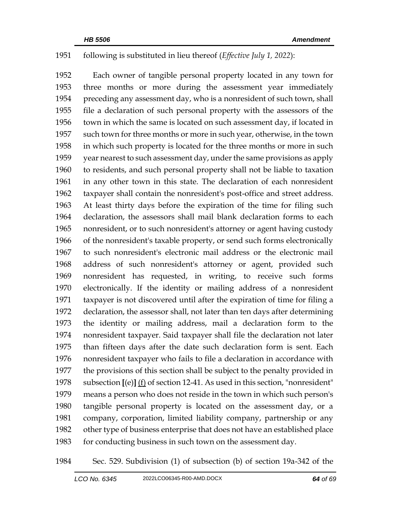## following is substituted in lieu thereof (*Effective July 1, 2022*):

 Each owner of tangible personal property located in any town for three months or more during the assessment year immediately preceding any assessment day, who is a nonresident of such town, shall file a declaration of such personal property with the assessors of the town in which the same is located on such assessment day, if located in such town for three months or more in such year, otherwise, in the town in which such property is located for the three months or more in such year nearest to such assessment day, under the same provisions as apply to residents, and such personal property shall not be liable to taxation in any other town in this state. The declaration of each nonresident taxpayer shall contain the nonresident's post-office and street address. At least thirty days before the expiration of the time for filing such declaration, the assessors shall mail blank declaration forms to each nonresident, or to such nonresident's attorney or agent having custody of the nonresident's taxable property, or send such forms electronically to such nonresident's electronic mail address or the electronic mail address of such nonresident's attorney or agent, provided such nonresident has requested, in writing, to receive such forms electronically. If the identity or mailing address of a nonresident taxpayer is not discovered until after the expiration of time for filing a declaration, the assessor shall, not later than ten days after determining the identity or mailing address, mail a declaration form to the nonresident taxpayer. Said taxpayer shall file the declaration not later than fifteen days after the date such declaration form is sent. Each nonresident taxpayer who fails to file a declaration in accordance with the provisions of this section shall be subject to the penalty provided in subsection **[**(e)**]** (f) of section 12-41. As used in this section, "nonresident" means a person who does not reside in the town in which such person's tangible personal property is located on the assessment day, or a company, corporation, limited liability company, partnership or any other type of business enterprise that does not have an established place 1983 for conducting business in such town on the assessment day.

Sec. 529. Subdivision (1) of subsection (b) of section 19a-342 of the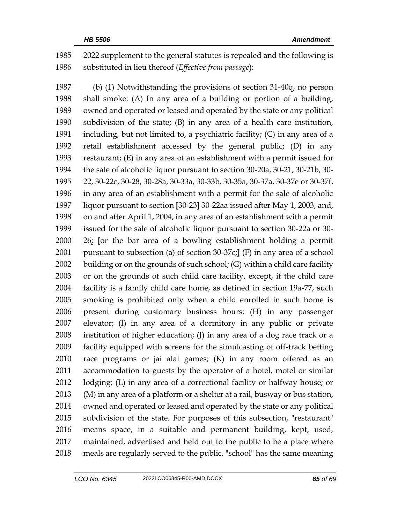2022 supplement to the general statutes is repealed and the following is substituted in lieu thereof (*Effective from passage*):

 (b) (1) Notwithstanding the provisions of section 31-40q, no person shall smoke: (A) In any area of a building or portion of a building, owned and operated or leased and operated by the state or any political subdivision of the state; (B) in any area of a health care institution, 1991 including, but not limited to, a psychiatric facility;  $(C)$  in any area of a retail establishment accessed by the general public; (D) in any restaurant; (E) in any area of an establishment with a permit issued for the sale of alcoholic liquor pursuant to section 30-20a, 30-21, 30-21b, 30- 22, 30-22c, 30-28, 30-28a, 30-33a, 30-33b, 30-35a, 30-37a, 30-37e or 30-37f, in any area of an establishment with a permit for the sale of alcoholic liquor pursuant to section **[**30-23**]** 30-22aa issued after May 1, 2003, and, on and after April 1, 2004, in any area of an establishment with a permit issued for the sale of alcoholic liquor pursuant to section 30-22a or 30- 26; **[**or the bar area of a bowling establishment holding a permit pursuant to subsection (a) of section 30-37c;**]** (F) in any area of a school building or on the grounds of such school; (G) within a child care facility or on the grounds of such child care facility, except, if the child care facility is a family child care home, as defined in section 19a-77, such smoking is prohibited only when a child enrolled in such home is present during customary business hours; (H) in any passenger elevator; (I) in any area of a dormitory in any public or private institution of higher education; (J) in any area of a dog race track or a facility equipped with screens for the simulcasting of off-track betting race programs or jai alai games; (K) in any room offered as an accommodation to guests by the operator of a hotel, motel or similar lodging; (L) in any area of a correctional facility or halfway house; or (M) in any area of a platform or a shelter at a rail, busway or bus station, owned and operated or leased and operated by the state or any political subdivision of the state. For purposes of this subsection, "restaurant" means space, in a suitable and permanent building, kept, used, maintained, advertised and held out to the public to be a place where meals are regularly served to the public, "school" has the same meaning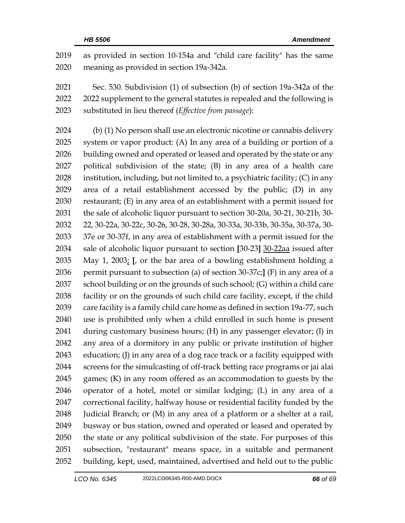as provided in section 10-154a and "child care facility" has the same meaning as provided in section 19a-342a.

 Sec. 530. Subdivision (1) of subsection (b) of section 19a-342a of the 2022 supplement to the general statutes is repealed and the following is substituted in lieu thereof (*Effective from passage*):

 (b) (1) No person shall use an electronic nicotine or cannabis delivery system or vapor product: (A) In any area of a building or portion of a building owned and operated or leased and operated by the state or any political subdivision of the state; (B) in any area of a health care 2028 institution, including, but not limited to, a psychiatric facility;  $(C)$  in any area of a retail establishment accessed by the public; (D) in any restaurant; (E) in any area of an establishment with a permit issued for the sale of alcoholic liquor pursuant to section 30-20a, 30-21, 30-21b, 30- 22, 30-22a, 30-22c, 30-26, 30-28, 30-28a, 30-33a, 30-33b, 30-35a, 30-37a, 30- 37e or 30-37f, in any area of establishment with a permit issued for the sale of alcoholic liquor pursuant to section **[**30-23**]** 30-22aa issued after May 1, 2003; **[**, or the bar area of a bowling establishment holding a permit pursuant to subsection (a) of section 30-37c;**]** (F) in any area of a school building or on the grounds of such school; (G) within a child care facility or on the grounds of such child care facility, except, if the child care facility is a family child care home as defined in section 19a-77, such use is prohibited only when a child enrolled in such home is present during customary business hours; (H) in any passenger elevator; (I) in any area of a dormitory in any public or private institution of higher education; (J) in any area of a dog race track or a facility equipped with screens for the simulcasting of off-track betting race programs or jai alai games; (K) in any room offered as an accommodation to guests by the operator of a hotel, motel or similar lodging; (L) in any area of a correctional facility, halfway house or residential facility funded by the Judicial Branch; or (M) in any area of a platform or a shelter at a rail, busway or bus station, owned and operated or leased and operated by the state or any political subdivision of the state. For purposes of this subsection, "restaurant" means space, in a suitable and permanent building, kept, used, maintained, advertised and held out to the public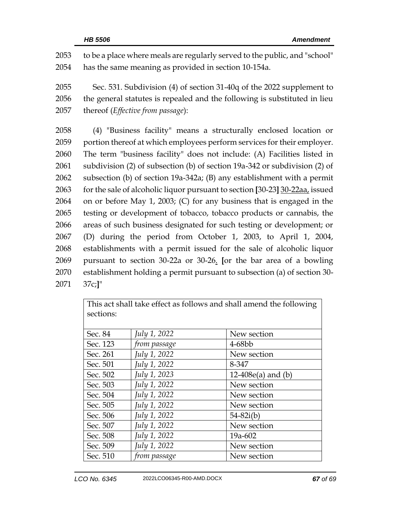to be a place where meals are regularly served to the public, and "school" has the same meaning as provided in section 10-154a. Sec. 531. Subdivision (4) of section 31-40q of the 2022 supplement to the general statutes is repealed and the following is substituted in lieu thereof (*Effective from passage*): (4) "Business facility" means a structurally enclosed location or portion thereof at which employees perform services for their employer. The term "business facility" does not include: (A) Facilities listed in subdivision (2) of subsection (b) of section 19a-342 or subdivision (2) of subsection (b) of section 19a-342a; (B) any establishment with a permit for the sale of alcoholic liquor pursuant to section **[**30-23**]** 30-22aa, issued on or before May 1, 2003; (C) for any business that is engaged in the

 testing or development of tobacco, tobacco products or cannabis, the areas of such business designated for such testing or development; or (D) during the period from October 1, 2003, to April 1, 2004, establishments with a permit issued for the sale of alcoholic liquor pursuant to section 30-22a or 30-26. **[**or the bar area of a bowling establishment holding a permit pursuant to subsection (a) of section 30- 2071 37c;**]**"

| This act shall take effect as follows and shall amend the following |              |                      |  |  |  |
|---------------------------------------------------------------------|--------------|----------------------|--|--|--|
| sections:                                                           |              |                      |  |  |  |
|                                                                     |              |                      |  |  |  |
|                                                                     |              |                      |  |  |  |
| Sec. 84                                                             | July 1, 2022 | New section          |  |  |  |
| Sec. 123                                                            | from passage | 4-68bb               |  |  |  |
| Sec. 261                                                            | July 1, 2022 | New section          |  |  |  |
| Sec. 501                                                            | July 1, 2022 | 8-347                |  |  |  |
| Sec. 502                                                            | July 1, 2023 | $12-408e(a)$ and (b) |  |  |  |
| Sec. 503                                                            | July 1, 2022 | New section          |  |  |  |
| Sec. 504                                                            | July 1, 2022 | New section          |  |  |  |
| Sec. 505                                                            | July 1, 2022 | New section          |  |  |  |
| Sec. 506                                                            | July 1, 2022 | $54 - 82i(b)$        |  |  |  |
| Sec. 507                                                            | July 1, 2022 | New section          |  |  |  |
| Sec. 508                                                            | July 1, 2022 | 19a-602              |  |  |  |
| Sec. 509                                                            | July 1, 2022 | New section          |  |  |  |
| Sec. 510                                                            | from passage | New section          |  |  |  |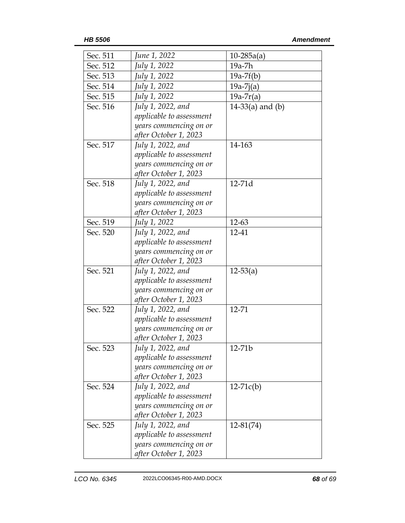| Sec. 511 | June 1, 2022             | $10-285a(a)$       |
|----------|--------------------------|--------------------|
| Sec. 512 | July 1, 2022             | 19a-7h             |
| Sec. 513 | July 1, 2022             | $19a-7f(b)$        |
| Sec. 514 | July 1, 2022             | $19a-7j(a)$        |
| Sec. 515 | July 1, 2022             | $19a-7r(a)$        |
| Sec. 516 | July 1, 2022, and        | 14-33(a) and $(b)$ |
|          | applicable to assessment |                    |
|          | years commencing on or   |                    |
|          | after October 1, 2023    |                    |
| Sec. 517 | July 1, 2022, and        | 14-163             |
|          | applicable to assessment |                    |
|          | years commencing on or   |                    |
|          | after October 1, 2023    |                    |
| Sec. 518 | July 1, 2022, and        | 12-71d             |
|          | applicable to assessment |                    |
|          | years commencing on or   |                    |
|          | after October 1, 2023    |                    |
| Sec. 519 | July 1, 2022             | $12 - 63$          |
| Sec. 520 | July 1, 2022, and        | 12-41              |
|          | applicable to assessment |                    |
|          | years commencing on or   |                    |
|          | after October 1, 2023    |                    |
| Sec. 521 | July 1, 2022, and        | $12 - 53(a)$       |
|          | applicable to assessment |                    |
|          | years commencing on or   |                    |
|          | after October 1, 2023    |                    |
| Sec. 522 | July 1, 2022, and        | 12-71              |
|          | applicable to assessment |                    |
|          | years commencing on or   |                    |
|          | after October 1, 2023    |                    |
| Sec. 523 | July 1, 2022, and        | $12 - 71b$         |
|          | applicable to assessment |                    |
|          | years commencing on or   |                    |
|          | after October 1, 2023    |                    |
| Sec. 524 | July 1, 2022, and        | $12-71c(b)$        |
|          | applicable to assessment |                    |
|          | years commencing on or   |                    |
|          | after October 1, 2023    |                    |
| Sec. 525 | July 1, 2022, and        | $12 - 81(74)$      |
|          | applicable to assessment |                    |
|          | years commencing on or   |                    |
|          | after October 1, 2023    |                    |